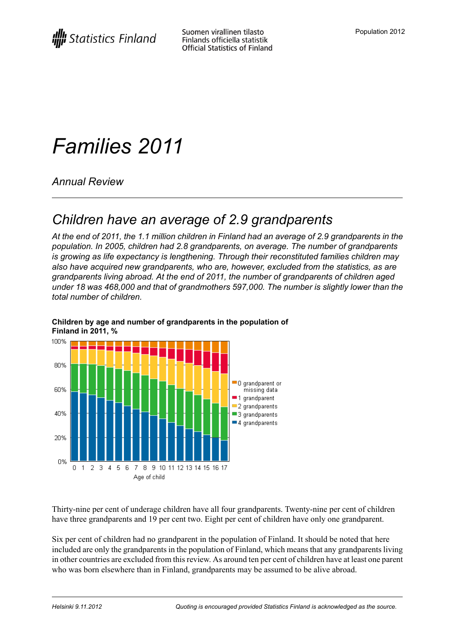# *Families 2011*

*Annual Review*

## *Children have an average of 2.9 grandparents*

At the end of 2011, the 1.1 million children in Finland had an average of 2.9 grandparents in the *population. In 2005, children had 2.8 grandparents, on average. The number of grandparents is growing as life expectancy is lengthening. Through their reconstituted families children may also have acquired new grandparents, who are, however, excluded from the statistics, as are grandparents living abroad. At the end of 2011, the number of grandparents of children aged under 18 was 468,000 and that of grandmothers 597,000. The number is slightly lower than the total number of children.*



#### **Children by age and number of grandparents in the population of Finland in 2011, %**

Thirty-nine per cent of underage children have all four grandparents. Twenty-nine per cent of children have three grandparents and 19 per cent two. Eight per cent of children have only one grandparent.

Six per cent of children had no grandparent in the population of Finland. It should be noted that here included are only the grandparents in the population of Finland, which means that any grandparents living in other countries are excluded from thisreview. As around ten per cent of children have at least one parent who was born elsewhere than in Finland, grandparents may be assumed to be alive abroad.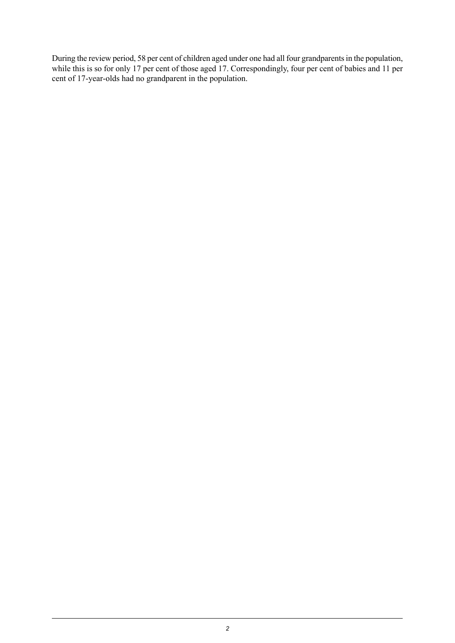During the review period, 58 per cent of children aged under one had all four grandparents in the population, while this is so for only 17 per cent of those aged 17. Correspondingly, four per cent of babies and 11 per cent of 17-year-olds had no grandparent in the population.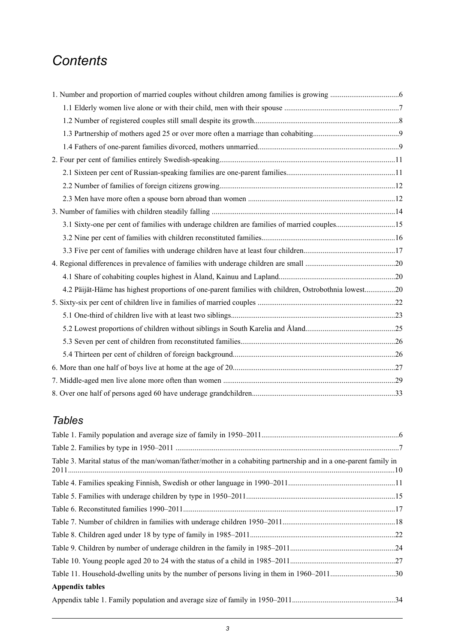## *Contents*

| 3.1 Sixty-one per cent of families with underage children are families of married couples15         |  |
|-----------------------------------------------------------------------------------------------------|--|
|                                                                                                     |  |
|                                                                                                     |  |
|                                                                                                     |  |
|                                                                                                     |  |
| 4.2 Päijät-Häme has highest proportions of one-parent families with children, Ostrobothnia lowest20 |  |
|                                                                                                     |  |
|                                                                                                     |  |
|                                                                                                     |  |
|                                                                                                     |  |
|                                                                                                     |  |
|                                                                                                     |  |
|                                                                                                     |  |
|                                                                                                     |  |

## *Tables*

| Table 3. Marital status of the man/woman/father/mother in a cohabiting partnership and in a one-parent family in |  |
|------------------------------------------------------------------------------------------------------------------|--|
|                                                                                                                  |  |
|                                                                                                                  |  |
|                                                                                                                  |  |
|                                                                                                                  |  |
|                                                                                                                  |  |
|                                                                                                                  |  |
|                                                                                                                  |  |
|                                                                                                                  |  |
| <b>Appendix tables</b>                                                                                           |  |
|                                                                                                                  |  |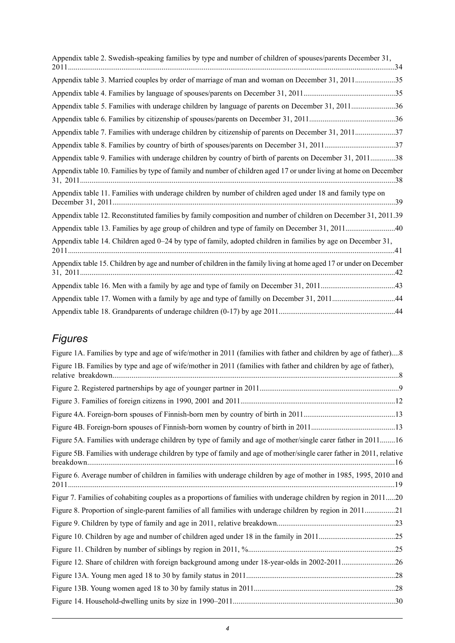## *Figures*

| Figure 1A. Families by type and age of wife/mother in 2011 (families with father and children by age of father)8     |  |
|----------------------------------------------------------------------------------------------------------------------|--|
| Figure 1B. Families by type and age of wife/mother in 2011 (families with father and children by age of father),     |  |
|                                                                                                                      |  |
|                                                                                                                      |  |
|                                                                                                                      |  |
|                                                                                                                      |  |
| Figure 5A. Families with underage children by type of family and age of mother/single carer father in 201116         |  |
| Figure 5B. Families with underage children by type of family and age of mother/single carer father in 2011, relative |  |
| Figure 6. Average number of children in families with underage children by age of mother in 1985, 1995, 2010 and     |  |
| Figur 7. Families of cohabiting couples as a proportions of families with underage children by region in 201120      |  |
| Figure 8. Proportion of single-parent families of all families with underage children by region in 201121            |  |
|                                                                                                                      |  |
|                                                                                                                      |  |
|                                                                                                                      |  |
|                                                                                                                      |  |
|                                                                                                                      |  |
|                                                                                                                      |  |
|                                                                                                                      |  |
|                                                                                                                      |  |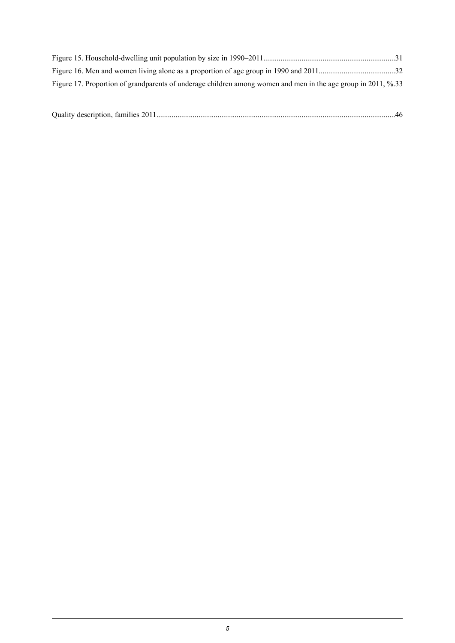| Figure 17. Proportion of grandparents of underage children among women and men in the age group in 2011, %.33 |  |
|---------------------------------------------------------------------------------------------------------------|--|

|--|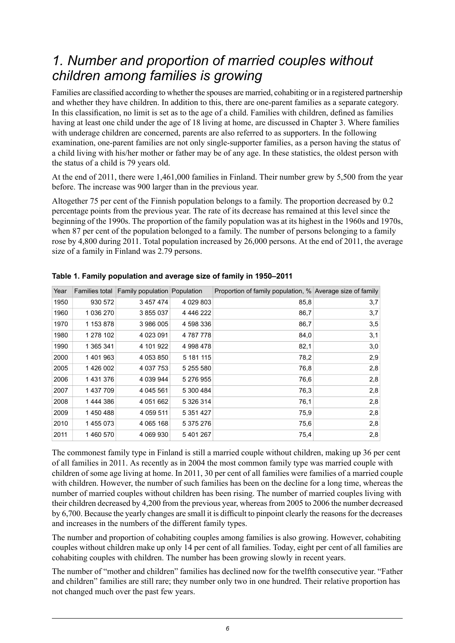## <span id="page-5-0"></span>*1. Number and proportion of married couples without children among families is growing*

Families are classified according to whether the spouses are married, cohabiting or in a registered partnership and whether they have children. In addition to this, there are one-parent families as a separate category. In this classification, no limit is set as to the age of a child. Families with children, defined as families having at least one child under the age of 18 living at home, are discussed in Chapter 3. Where families with underage children are concerned, parents are also referred to as supporters. In the following examination, one-parent families are not only single-supporter families, as a person having the status of a child living with his/her mother or father may be of any age. In these statistics, the oldest person with the status of a child is 79 years old.

At the end of 2011, there were 1,461,000 families in Finland. Their number grew by 5,500 from the year before. The increase was 900 larger than in the previous year.

Altogether 75 per cent of the Finnish population belongs to a family. The proportion decreased by 0.2 percentage points from the previous year. The rate of its decrease has remained at this level since the beginning of the 1990s. The proportion of the family population was at its highest in the 1960s and 1970s, when 87 per cent of the population belonged to a family. The number of persons belonging to a family rose by 4,800 during 2011. Total population increased by 26,000 persons. At the end of 2011, the average size of a family in Finland was 2.79 persons.

| Year | Families total | Family population Population |           | Proportion of family population, % Average size of family |     |
|------|----------------|------------------------------|-----------|-----------------------------------------------------------|-----|
| 1950 | 930 572        | 3 457 474                    | 4 029 803 | 85,8                                                      | 3,7 |
| 1960 | 1 036 270      | 3 855 037                    | 4 446 222 | 86,7                                                      | 3,7 |
| 1970 | 1 153 878      | 3 986 005                    | 4 598 336 | 86,7                                                      | 3,5 |
| 1980 | 1 278 102      | 4 0 23 0 91                  | 4 787 778 | 84,0                                                      | 3,1 |
| 1990 | 1 365 341      | 4 101 922                    | 4 998 478 | 82,1                                                      | 3,0 |
| 2000 | 1401963        | 4 053 850                    | 5 181 115 | 78,2                                                      | 2,9 |
| 2005 | 1426 002       | 4 0 3 7 7 5 3                | 5 255 580 | 76,8                                                      | 2,8 |
| 2006 | 1431376        | 4 0 39 9 44                  | 5 276 955 | 76,6                                                      | 2,8 |
| 2007 | 1 437 709      | 4 045 561                    | 5 300 484 | 76,3                                                      | 2,8 |
| 2008 | 1444386        | 4 0 5 1 6 6 2                | 5 326 314 | 76,1                                                      | 2,8 |
| 2009 | 1450488        | 4 0 5 9 5 1 1                | 5 351 427 | 75,9                                                      | 2,8 |
| 2010 | 1455073        | 4 065 168                    | 5 375 276 | 75,6                                                      | 2,8 |
| 2011 | 1460570        | 4 069 930                    | 5 401 267 | 75,4                                                      | 2,8 |

<span id="page-5-1"></span>**Table 1. Family population and average size of family in 1950–2011**

The commonest family type in Finland is still a married couple without children, making up 36 per cent of all families in 2011. As recently as in 2004 the most common family type was married couple with children of some age living at home. In 2011, 30 per cent of all families were families of a married couple with children. However, the number of such families has been on the decline for a long time, whereas the number of married couples without children has been rising. The number of married couples living with their children decreased by 4,200 from the previous year, whereas from 2005 to 2006 the number decreased by 6,700. Because the yearly changes are small it is difficult to pinpoint clearly the reasonsfor the decreases and increases in the numbers of the different family types.

The number and proportion of cohabiting couples among families is also growing. However, cohabiting couples without children make up only 14 per cent of all families. Today, eight per cent of all families are cohabiting couples with children. The number has been growing slowly in recent years.

The number of "mother and children" families has declined now for the twelfth consecutive year. "Father and children" families are still rare; they number only two in one hundred. Their relative proportion has not changed much over the past few years.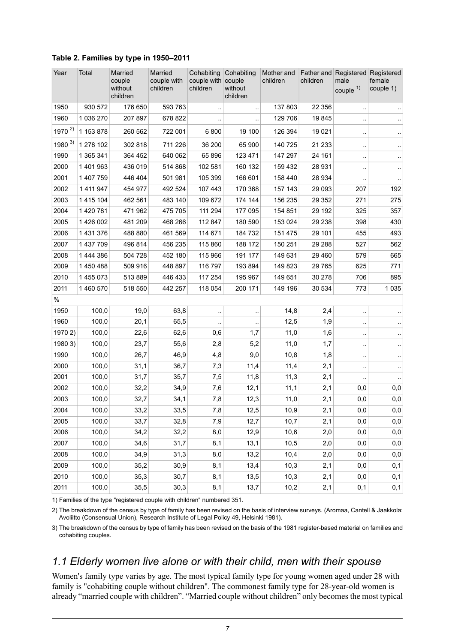| Year         | Total         | Married<br>couple<br>without<br>children | Married<br>couple with<br>children | Cohabiting<br>Cohabiting<br>couple with couple<br>without<br>children<br>children |         | Mother and<br>children | children | Father and Registered<br>male<br>couple $1)$ | Registered<br>female<br>couple 1) |
|--------------|---------------|------------------------------------------|------------------------------------|-----------------------------------------------------------------------------------|---------|------------------------|----------|----------------------------------------------|-----------------------------------|
| 1950         | 930 572       | 176 650                                  | 593 763                            |                                                                                   |         | 137 803                | 22 356   | $\ddot{\phantom{0}}$                         |                                   |
| 1960         | 1 036 270     | 207 897                                  | 678 822                            |                                                                                   |         | 129 706                | 19845    | $\ddot{\phantom{0}}$                         |                                   |
| 1970 $^{2)}$ | 1 153 878     | 260 562                                  | 722 001                            | 6800                                                                              | 19 100  | 126 394                | 19 0 21  | $\ddot{\phantom{0}}$                         |                                   |
| $1980^{3}$   | 1 278 102     | 302 818                                  | 711 226                            | 36 200                                                                            | 65 900  | 140 725                | 21 233   | $\ddot{\phantom{0}}$                         | $\ddotsc$                         |
| 1990         | 1 365 341     | 364 452                                  | 640 062                            | 65 896                                                                            | 123 471 | 147 297                | 24 161   | $\cdot$                                      |                                   |
| 2000         | 1 401 963     | 436 019                                  | 514 868                            | 102 581                                                                           | 160 132 | 159 432                | 28 931   | $\ddot{\phantom{0}}$                         |                                   |
| 2001         | 1 407 759     | 446 404                                  | 501 981                            | 105 399                                                                           | 166 601 | 158 440                | 28 934   | $\ddot{\phantom{0}}$                         |                                   |
| 2002         | 1 411 947     | 454 977                                  | 492 524                            | 107 443                                                                           | 170 368 | 157 143                | 29 093   | 207                                          | 192                               |
| 2003         | 1 4 1 5 1 0 4 | 462 561                                  | 483 140                            | 109 672                                                                           | 174 144 | 156 235                | 29 3 5 2 | 271                                          | 275                               |
| 2004         | 1 420 781     | 471 962                                  | 475 705                            | 111 294                                                                           | 177 095 | 154 851                | 29 192   | 325                                          | 357                               |
| 2005         | 1 426 002     | 481 209                                  | 468 266                            | 112 847                                                                           | 180 590 | 153 024                | 29 238   | 398                                          | 430                               |
| 2006         | 1 431 376     | 488 880                                  | 461 569                            | 114 671                                                                           | 184 732 | 151 475                | 29 101   | 455                                          | 493                               |
| 2007         | 1 437 709     | 496 814                                  | 456 235                            | 115 860                                                                           | 188 172 | 150 251                | 29 288   | 527                                          | 562                               |
| 2008         | 1 444 386     | 504 728                                  | 452 180                            | 115 966                                                                           | 191 177 | 149 631                | 29 4 60  | 579                                          | 665                               |
| 2009         | 1 450 488     | 509 916                                  | 448 897                            | 116 797                                                                           | 193 894 | 149 823                | 29 7 65  | 625                                          | 771                               |
| 2010         | 1 455 073     | 513 889                                  | 446 433                            | 117 254                                                                           | 195 967 | 149 651                | 30 278   | 706                                          | 895                               |
| 2011         | 1 460 570     | 518 550                                  | 442 257                            | 118 054                                                                           | 200 171 | 149 196                | 30 534   | 773                                          | 1 0 3 5                           |
| %            |               |                                          |                                    |                                                                                   |         |                        |          |                                              |                                   |
| 1950         | 100,0         | 19,0                                     | 63,8                               |                                                                                   |         | 14,8                   | 2,4      | $\ddot{\phantom{0}}$                         |                                   |
| 1960         | 100,0         | 20,1                                     | 65,5                               |                                                                                   |         | 12,5                   | 1,9      | $\ddot{\phantom{0}}$                         |                                   |
| 1970 2)      | 100,0         | 22,6                                     | 62,6                               | 0,6                                                                               | 1,7     | 11,0                   | 1,6      | $\ddot{\phantom{0}}$                         |                                   |
| 1980 3)      | 100,0         | 23,7                                     | 55,6                               | 2,8                                                                               | 5,2     | 11,0                   | 1,7      | $\ddot{\phantom{0}}$                         |                                   |
| 1990         | 100,0         | 26,7                                     | 46,9                               | 4,8                                                                               | 9,0     | 10,8                   | 1,8      | $\ddot{\phantom{0}}$                         |                                   |
| 2000         | 100,0         | 31,1                                     | 36,7                               | 7,3                                                                               | 11,4    | 11,4                   | 2,1      | $\ddot{\phantom{0}}$                         | $\ddotsc$                         |
| 2001         | 100,0         | 31,7                                     | 35,7                               | 7,5                                                                               | 11,8    | 11,3                   | 2,1      | $\ddot{\phantom{0}}$                         |                                   |
| 2002         | 100,0         | 32,2                                     | 34,9                               | 7,6                                                                               | 12,1    | 11,1                   | 2,1      | 0,0                                          | 0,0                               |
| 2003         | 100,0         | 32,7                                     | 34,1                               | 7,8                                                                               | 12,3    | 11,0                   | 2,1      | 0,0                                          | 0,0                               |
| 2004         | 100,0         | 33,2                                     | 33,5                               | $7,8$                                                                             | 12,5    | 10,9                   | 2,1      | $_{0,0}$                                     | 0,0                               |
| 2005         | 100,0         | 33,7                                     | 32,8                               | 7,9                                                                               | 12,7    | 10,7                   | 2,1      | 0,0                                          | 0,0                               |
| 2006         | 100,0         | 34,2                                     | 32,2                               | 8,0                                                                               | 12,9    | 10,6                   | 2,0      | 0,0                                          | 0,0                               |
| 2007         | 100,0         | 34,6                                     | 31,7                               | 8,1                                                                               | 13,1    | 10,5                   | 2,0      | 0,0                                          | 0,0                               |
| 2008         | 100,0         | 34,9                                     | 31,3                               | 8,0                                                                               | 13,2    | 10,4                   | 2,0      | 0,0                                          | 0,0                               |
| 2009         | 100,0         | 35,2                                     | 30,9                               | 8,1                                                                               | 13,4    | 10,3                   | 2,1      | 0,0                                          | 0,1                               |
| 2010         | 100,0         | 35,3                                     | 30,7                               | 8,1                                                                               | 13,5    | 10,3                   | 2,1      | 0,0                                          | 0,1                               |
| 2011         | 100,0         | 35,5                                     | 30,3                               | 8,1                                                                               | 13,7    | 10,2                   | 2,1      | 0,1                                          | 0,1                               |

#### <span id="page-6-1"></span>**Table 2. Families by type in 1950–2011**

<span id="page-6-0"></span>1) Families of the type "registered couple with children" numbered 351.

The breakdown of the census by type of family has been revised on the basis of interview surveys. (Aromaa, Cantell & Jaakkola: 2) Avoliitto (Consensual Union), Research Institute of Legal Policy 49, Helsinki 1981).

3) The breakdown of the census by type of family has been revised on the basis of the 1981 register-based material on families and cohabiting couples.

#### *1.1 Elderly women live alone or with their child, men with their spouse*

Women's family type varies by age. The most typical family type for young women aged under 28 with family is "cohabiting couple without children". The commonest family type for 28-year-old women is already "married couple with children". "Married couple without children" only becomes the most typical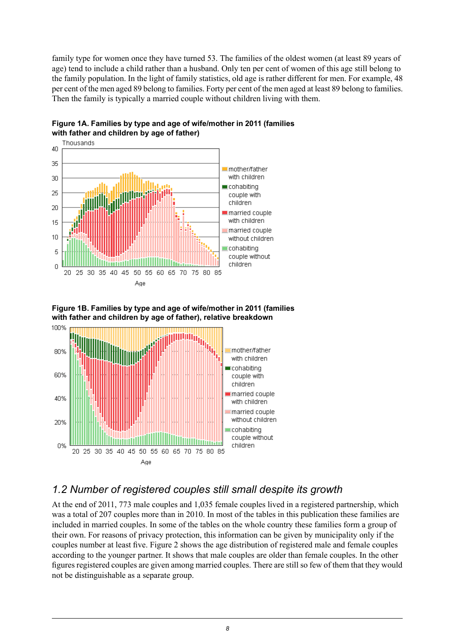family type for women once they have turned 53. The families of the oldest women (at least 89 years of age) tend to include a child rather than a husband. Only ten per cent of women of this age still belong to the family population. In the light of family statistics, old age is rather different for men. For example, 48 per cent of the men aged 89 belong to families. Forty per cent of the men aged at least 89 belong to families. Then the family is typically a married couple without children living with them.



<span id="page-7-1"></span>

<span id="page-7-2"></span>



## <span id="page-7-0"></span>*1.2 Number of registered couples still small despite its growth*

At the end of 2011, 773 male couples and 1,035 female couples lived in a registered partnership, which was a total of 207 couples more than in 2010. In most of the tables in this publication these families are included in married couples. In some of the tables on the whole country these families form a group of their own. For reasons of privacy protection, this information can be given by municipality only if the couples number at least five. Figure 2 shows the age distribution of registered male and female couples according to the younger partner. It shows that male couples are older than female couples. In the other figures registered couples are given among married couples. There are still so few of them that they would not be distinguishable as a separate group.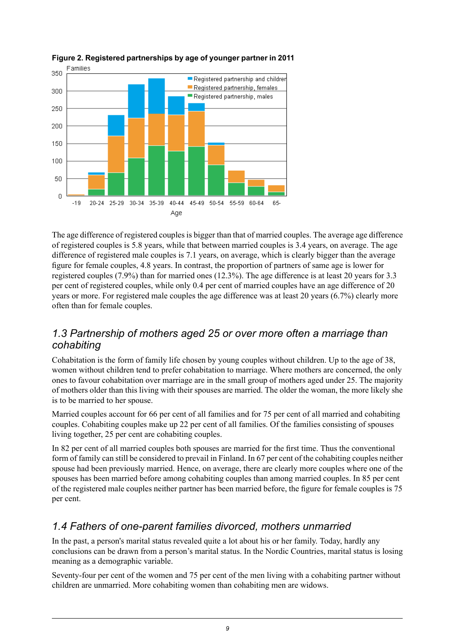

<span id="page-8-2"></span>

The age difference of registered couples is bigger than that of married couples. The average age difference of registered couples is 5.8 years, while that between married couples is 3.4 years, on average. The age difference of registered male couples is 7.1 years, on average, which is clearly bigger than the average figure for female couples, 4.8 years. In contrast, the proportion of partners of same age is lower for registered couples (7.9%) than for married ones (12.3%). The age difference is at least 20 years for 3.3 per cent of registered couples, while only 0.4 per cent of married couples have an age difference of 20 years or more. For registered male couples the age difference was at least 20 years (6.7%) clearly more often than for female couples.

### <span id="page-8-0"></span>*1.3 Partnership of mothers aged 25 or over more often a marriage than cohabiting*

Cohabitation is the form of family life chosen by young couples without children. Up to the age of 38, women without children tend to prefer cohabitation to marriage. Where mothers are concerned, the only ones to favour cohabitation over marriage are in the small group of mothers aged under 25. The majority of mothers older than this living with their spouses are married. The older the woman, the more likely she is to be married to her spouse.

Married couples account for 66 per cent of all families and for 75 per cent of all married and cohabiting couples. Cohabiting couples make up 22 per cent of all families. Of the families consisting of spouses living together, 25 per cent are cohabiting couples.

<span id="page-8-1"></span>In 82 per cent of all married couples both spouses are married for the first time. Thus the conventional form of family can still be considered to prevail in Finland. In 67 per cent of the cohabiting couples neither spouse had been previously married. Hence, on average, there are clearly more couples where one of the spouses has been married before among cohabiting couples than among married couples. In 85 per cent of the registered male couples neither partner has been married before, the figure for female couples is 75 per cent.

## *1.4 Fathers of one-parent families divorced, mothers unmarried*

In the past, a person's marital status revealed quite a lot about his or her family. Today, hardly any conclusions can be drawn from a person's marital status. In the Nordic Countries, marital status is losing meaning as a demographic variable.

Seventy-four per cent of the women and 75 per cent of the men living with a cohabiting partner without children are unmarried. More cohabiting women than cohabiting men are widows.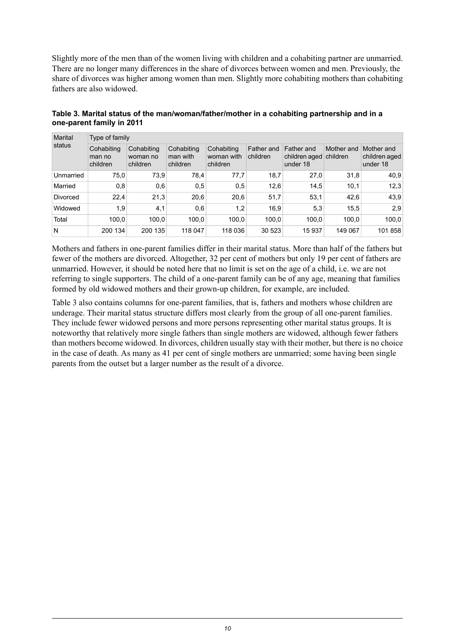Slightly more of the men than of the women living with children and a cohabiting partner are unmarried. There are no longer many differences in the share of divorces between women and men. Previously, the share of divorces was higher among women than men. Slightly more cohabiting mothers than cohabiting fathers are also widowed.

| Marital<br>status | Type of family                   |                                    |                                    |                                      |                        |                                         |                        |                                         |  |  |  |
|-------------------|----------------------------------|------------------------------------|------------------------------------|--------------------------------------|------------------------|-----------------------------------------|------------------------|-----------------------------------------|--|--|--|
|                   | Cohabiting<br>man no<br>children | Cohabiting<br>woman no<br>children | Cohabiting<br>man with<br>children | Cohabiting<br>woman with<br>children | Father and<br>children | Father and<br>children aged<br>under 18 | Mother and<br>children | Mother and<br>children aged<br>under 18 |  |  |  |
| Unmarried         | 75,0                             | 73,9                               | 78,4                               | 77,7                                 | 18,7                   | 27,0                                    | 31,8                   | 40,9                                    |  |  |  |
| Married           | 0,8                              | 0,6                                | 0,5                                | 0,5                                  | 12,6                   | 14,5                                    | 10,1                   | 12.3                                    |  |  |  |
| <b>Divorced</b>   | 22.4                             | 21,3                               | 20,6                               | 20,6                                 | 51,7                   | 53,1                                    | 42,6                   | 43,9                                    |  |  |  |
| Widowed           | 1,9                              | 4,1                                | 0,6                                | 1,2                                  | 16,9                   | 5,3                                     | 15,5                   | 2,9                                     |  |  |  |
| Total             | 100.0                            | 100.0                              | 100.0                              | 100.0                                | 100,0                  | 100,0                                   | 100,0                  | 100,0                                   |  |  |  |
| N                 | 200 134                          | 200 135                            | 118 047                            | 118 036                              | 30 523                 | 15937                                   | 149 067                | 101 858                                 |  |  |  |

<span id="page-9-0"></span>**Table 3. Marital status of the man/woman/father/mother in a cohabiting partnership and in a one-parent family in 2011**

Mothers and fathers in one-parent families differ in their marital status. More than half of the fathers but fewer of the mothers are divorced. Altogether, 32 per cent of mothers but only 19 per cent of fathers are unmarried. However, it should be noted here that no limit is set on the age of a child, i.e. we are not referring to single supporters. The child of a one-parent family can be of any age, meaning that families formed by old widowed mothers and their grown-up children, for example, are included.

Table 3 also contains columns for one-parent families, that is, fathers and mothers whose children are underage. Their marital status structure differs most clearly from the group of all one-parent families. They include fewer widowed persons and more persons representing other marital status groups. It is noteworthy that relatively more single fathers than single mothers are widowed, although fewer fathers than mothers become widowed. In divorces, children usually stay with their mother, but there is no choice in the case of death. As many as 41 per cent of single mothers are unmarried; some having been single parents from the outset but a larger number as the result of a divorce.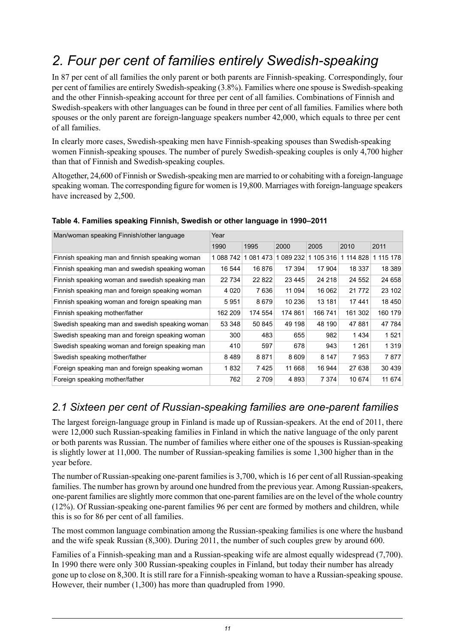## <span id="page-10-0"></span>*2. Four per cent of families entirely Swedish-speaking*

In 87 per cent of all families the only parent or both parents are Finnish-speaking. Correspondingly, four per cent of families are entirely Swedish-speaking (3.8%). Families where one spouse is Swedish-speaking and the other Finnish-speaking account for three per cent of all families. Combinations of Finnish and Swedish-speakers with other languages can be found in three per cent of all families. Families where both spouses or the only parent are foreign-language speakers number 42,000, which equals to three per cent of all families.

In clearly more cases, Swedish-speaking men have Finnish-speaking spouses than Swedish-speaking women Finnish-speaking spouses. The number of purely Swedish-speaking couples is only 4,700 higher than that of Finnish and Swedish-speaking couples.

Altogether, 24,600 of Finnish or Swedish-speaking men are married to or cohabiting with a foreign-language speaking woman. The corresponding figure for women is 19,800. Marriages with foreign-language speakers have increased by 2,500.

| Man/woman speaking Finnish/other language       | Year      |         |         |           |           |           |  |  |
|-------------------------------------------------|-----------|---------|---------|-----------|-----------|-----------|--|--|
| 1990                                            |           | 1995    | 2000    | 2005      | 2010      | 2011      |  |  |
| Finnish speaking man and finnish speaking woman | 1 088 742 | 1081473 | 089 232 | 1 105 316 | 1 114 828 | 1 115 178 |  |  |
| Finnish speaking man and swedish speaking woman | 16 544    | 16876   | 17 394  | 17 904    | 18 337    | 18 389    |  |  |
| Finnish speaking woman and swedish speaking man | 22 734    | 22 822  | 23 4 45 | 24 218    | 24 552    | 24 658    |  |  |
| Finnish speaking man and foreign speaking woman | 4 0 2 0   | 7636    | 11 094  | 16 062    | 21 7 7 2  | 23 102    |  |  |
| Finnish speaking woman and foreign speaking man | 5951      | 8679    | 10 236  | 13 181    | 17441     | 18 450    |  |  |
| Finnish speaking mother/father                  | 162 209   | 174 554 | 174 861 | 166 741   | 161 302   | 160 179   |  |  |
| Swedish speaking man and swedish speaking woman | 53 348    | 50 845  | 49 198  | 48 190    | 47881     | 47 784    |  |  |
| Swedish speaking man and foreign speaking woman | 300       | 483     | 655     | 982       | 1434      | 1521      |  |  |
| Swedish speaking woman and foreign speaking man | 410       | 597     | 678     | 943       | 1 2 6 1   | 1 3 1 9   |  |  |
| Swedish speaking mother/father                  | 8489      | 8871    | 8609    | 8 1 4 7   | 7953      | 7877      |  |  |
| Foreign speaking man and foreign speaking woman | 1832      | 7425    | 11 668  | 16 944    | 27 638    | 30 4 39   |  |  |
| Foreign speaking mother/father                  | 762       | 2709    | 4893    | 7 3 7 4   | 10 674    | 11 674    |  |  |

#### <span id="page-10-2"></span>**Table 4. Families speaking Finnish, Swedish or other language in 1990–2011**

### <span id="page-10-1"></span>*2.1 Sixteen per cent of Russian-speaking families are one-parent families*

The largest foreign-language group in Finland is made up of Russian-speakers. At the end of 2011, there were 12,000 such Russian-speaking families in Finland in which the native language of the only parent or both parents was Russian. The number of families where either one of the spouses is Russian-speaking is slightly lower at 11,000. The number of Russian-speaking families is some 1,300 higher than in the year before.

The number of Russian-speaking one-parent families is 3,700, which is 16 per cent of all Russian-speaking families. The number has grown by around one hundred from the previous year. Among Russian-speakers, one-parent families are slightly more common that one-parent families are on the level of the whole country (12%). Of Russian-speaking one-parent families 96 per cent are formed by mothers and children, while this is so for 86 per cent of all families.

The most common language combination among the Russian-speaking families is one where the husband and the wife speak Russian (8,300). During 2011, the number of such couples grew by around 600.

Families of a Finnish-speaking man and a Russian-speaking wife are almost equally widespread (7,700). In 1990 there were only 300 Russian-speaking couples in Finland, but today their number has already gone up to close on 8,300. It is still rare for a Finnish-speaking woman to have a Russian-speaking spouse. However, their number (1,300) has more than quadrupled from 1990.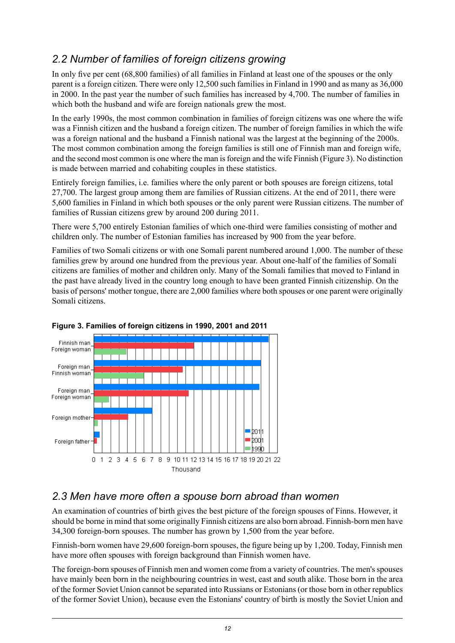## <span id="page-11-0"></span>*2.2 Number of families of foreign citizens growing*

In only five per cent (68,800 families) of all families in Finland at least one of the spouses or the only parent is a foreign citizen. There were only 12,500 such families in Finland in 1990 and as many as 36,000 in 2000. In the past year the number of such families has increased by 4,700. The number of families in which both the husband and wife are foreign nationals grew the most.

In the early 1990s, the most common combination in families of foreign citizens was one where the wife was a Finnish citizen and the husband a foreign citizen. The number of foreign families in which the wife was a foreign national and the husband a Finnish national was the largest at the beginning of the 2000s. The most common combination among the foreign families is still one of Finnish man and foreign wife, and the second most common is one where the man isforeign and the wife Finnish (Figure 3). No distinction is made between married and cohabiting couples in these statistics.

Entirely foreign families, i.e. families where the only parent or both spouses are foreign citizens, total 27,700. The largest group among them are families of Russian citizens. At the end of 2011, there were 5,600 families in Finland in which both spouses or the only parent were Russian citizens. The number of families of Russian citizens grew by around 200 during 2011.

There were 5,700 entirely Estonian families of which one-third were families consisting of mother and children only. The number of Estonian families has increased by 900 from the year before.

Families of two Somali citizens or with one Somali parent numbered around 1,000. The number of these families grew by around one hundred from the previous year. About one-half of the families of Somali citizens are families of mother and children only. Many of the Somali families that moved to Finland in the past have already lived in the country long enough to have been granted Finnish citizenship. On the basis of persons' mother tongue, there are 2,000 families where both spouses or one parent were originally Somali citizens.



<span id="page-11-2"></span>

## <span id="page-11-1"></span>*2.3 Men have more often a spouse born abroad than women*

An examination of countries of birth gives the best picture of the foreign spouses of Finns. However, it should be borne in mind thatsome originally Finnish citizens are also born abroad. Finnish-born men have 34,300 foreign-born spouses. The number has grown by 1,500 from the year before.

Finnish-born women have 29,600 foreign-born spouses, the figure being up by 1,200. Today, Finnish men have more often spouses with foreign background than Finnish women have.

The foreign-born spouses of Finnish men and women come from a variety of countries. The men's spouses have mainly been born in the neighbouring countries in west, east and south alike. Those born in the area of the former Soviet Union cannot be separated into Russians or Estonians (or those born in other republics of the former Soviet Union), because even the Estonians' country of birth is mostly the Soviet Union and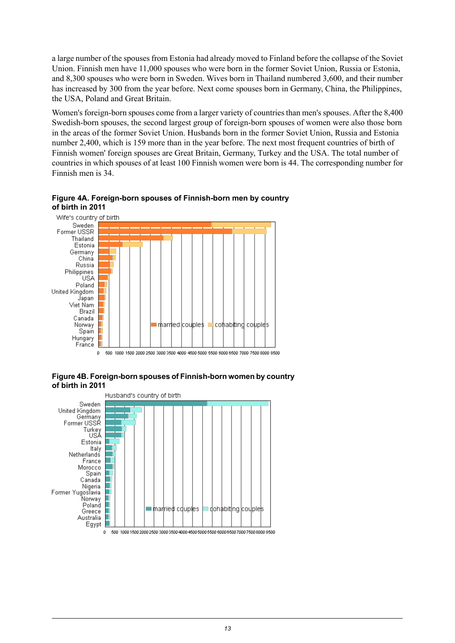a large number of the spouses from Estonia had already moved to Finland before the collapse of the Soviet Union. Finnish men have 11,000 spouses who were born in the former Soviet Union, Russia or Estonia, and 8,300 spouses who were born in Sweden. Wives born in Thailand numbered 3,600, and their number has increased by 300 from the year before. Next come spouses born in Germany, China, the Philippines, the USA, Poland and Great Britain.

Women's foreign-born spouses come from a larger variety of countries than men's spouses. After the 8,400 Swedish-born spouses, the second largest group of foreign-born spouses of women were also those born in the areas of the former Soviet Union. Husbands born in the former Soviet Union, Russia and Estonia number 2,400, which is 159 more than in the year before. The next most frequent countries of birth of Finnish women' foreign spouses are Great Britain, Germany, Turkey and the USA. The total number of countries in which spouses of at least 100 Finnish women were born is 44. The corresponding number for Finnish men is 34.



<span id="page-12-0"></span>**Figure 4A. Foreign-born spouses of Finnish-born men by country of birth in 2011**

500 1000 1500 2000 2500 3000 3500 4000 4500 5000 5500 6000 6500 7000 7500 8000 8500

<span id="page-12-1"></span>**Figure4B. Foreign-born spouses of Finnish-born women bycountry of birth in 2011**

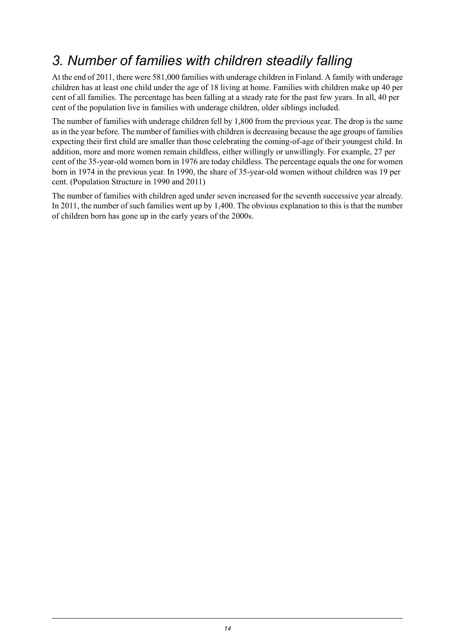## <span id="page-13-0"></span>*3. Number of families with children steadily falling*

At the end of 2011, there were 581,000 families with underage children in Finland. A family with underage children has at least one child under the age of 18 living at home. Families with children make up 40 per cent of all families. The percentage has been falling at a steady rate for the past few years. In all, 40 per cent of the population live in families with underage children, older siblings included.

The number of families with underage children fell by 1,800 from the previous year. The drop is the same asin the year before. The number of families with children is decreasing because the age groups of families expecting their first child are smaller than those celebrating the coming-of-age of their youngest child. In addition, more and more women remain childless, either willingly or unwillingly. For example, 27 per cent of the 35-year-old women born in 1976 are today childless. The percentage equals the one for women born in 1974 in the previous year. In 1990, the share of 35-year-old women without children was 19 per cent. (Population Structure in 1990 and 2011)

The number of families with children aged under seven increased for the seventh successive year already. In 2011, the number of such families went up by 1,400. The obvious explanation to this is that the number of children born has gone up in the early years of the 2000s.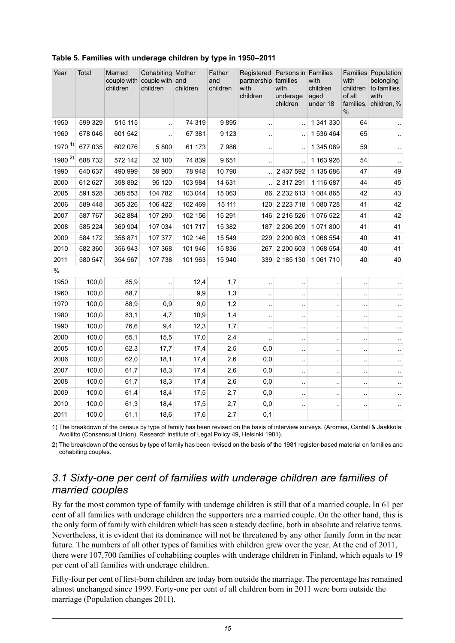| Year         | Total   | Married<br>children | Cohabiting Mother<br>couple with couple with and<br>children | children | Father<br>and<br>children | Registered<br>partnership families<br>with<br>children | Persons in Families<br>with<br>underage<br>children | with<br>children<br>aged<br>under 18 | with<br>children<br>of all<br>families,<br>$\frac{0}{0}$ | Families Population<br>belonging<br>to families<br>with<br>children, % |
|--------------|---------|---------------------|--------------------------------------------------------------|----------|---------------------------|--------------------------------------------------------|-----------------------------------------------------|--------------------------------------|----------------------------------------------------------|------------------------------------------------------------------------|
| 1950         | 599 329 | 515 115             |                                                              | 74 319   | 9895                      | $\ddotsc$                                              | $\ddot{\phantom{a}}$                                | 1 341 330                            | 64                                                       |                                                                        |
| 1960         | 678 046 | 601 542             |                                                              | 67 381   | 9 1 2 3                   | $\ddotsc$                                              |                                                     | 1 536 464                            | 65                                                       |                                                                        |
| $1970^{1}$   | 677 035 | 602 076             | 5800                                                         | 61 173   | 7986                      | $\ddot{\phantom{1}}$                                   |                                                     | 1 345 089                            | 59                                                       | $\ddotsc$                                                              |
| 1980 $^{2)}$ | 688 732 | 572 142             | 32 100                                                       | 74 839   | 9651                      | $\ddotsc$                                              | $\bar{a}$                                           | 1 163 926                            | 54                                                       | $\ddotsc$                                                              |
| 1990         | 640 637 | 490 999             | 59 900                                                       | 78 948   | 10790                     |                                                        | 2 437 592                                           | 1 135 686                            | 47                                                       | 49                                                                     |
| 2000         | 612 627 | 398 892             | 95 120                                                       | 103 984  | 14 631                    |                                                        | 2 317 291                                           | 1 116 687                            | 44                                                       | 45                                                                     |
| 2005         | 591 528 | 368 553             | 104 782                                                      | 103 044  | 15 063                    |                                                        | 86 2 2 3 2 6 1 3                                    | 1084865                              | 42                                                       | 43                                                                     |
| 2006         | 589 448 | 365 326             | 106 422                                                      | 102 469  | 15 111                    |                                                        | 120 2 223 718                                       | 1 080 728                            | 41                                                       | 42                                                                     |
| 2007         | 587 767 | 362 884             | 107 290                                                      | 102 156  | 15 291                    |                                                        | 146 2 216 526                                       | 1076522                              | 41                                                       | 42                                                                     |
| 2008         | 585 224 | 360 904             | 107 034                                                      | 101717   | 15 3 8 2                  | 187                                                    | 2 206 209                                           | 1071800                              | 41                                                       | 41                                                                     |
| 2009         | 584 172 | 358 871             | 107 377                                                      | 102 146  | 15 549                    | 229                                                    | 2 200 603                                           | 1 068 554                            | 40                                                       | 41                                                                     |
| 2010         | 582 360 | 356 943             | 107 368                                                      | 101 946  | 15836                     | 267                                                    | 2 200 603                                           | 1 068 554                            | 40                                                       | 41                                                                     |
| 2011         | 580 547 | 354 567             | 107 738                                                      | 101 963  | 15 940                    |                                                        | 339 2 185 130                                       | 1 061 710                            | 40                                                       | 40                                                                     |
| $\%$         |         |                     |                                                              |          |                           |                                                        |                                                     |                                      |                                                          |                                                                        |
| 1950         | 100,0   | 85,9                |                                                              | 12,4     | 1,7                       | $\ddotsc$                                              | $\ddotsc$                                           |                                      | $\ddot{\phantom{0}}$                                     |                                                                        |
| 1960         | 100,0   | 88,7                | $\ddotsc$                                                    | 9,9      | 1,3                       | $\ddot{\phantom{1}}$                                   | $\ddot{\phantom{1}}$                                | ٠.                                   | $\ddot{\phantom{a}}$                                     | $\ddotsc$                                                              |
| 1970         | 100,0   | 88,9                | 0,9                                                          | 9,0      | 1,2                       | $\ddotsc$                                              | $\ddotsc$                                           | $\ddot{\phantom{a}}$                 | $\ddot{\phantom{a}}$                                     | $\ddot{\phantom{a}}$                                                   |
| 1980         | 100,0   | 83,1                | 4,7                                                          | 10,9     | 1,4                       | $\ddotsc$                                              | $\bar{\mathbf{r}}$ .                                | ă.                                   | $\ddotsc$                                                | $\ddot{\phantom{a}}$                                                   |
| 1990         | 100,0   | 76,6                | 9,4                                                          | 12,3     | 1,7                       | $\ddotsc$                                              | $\ddotsc$                                           | $\ddotsc$                            | $\ddotsc$                                                |                                                                        |
| 2000         | 100,0   | 65,1                | 15,5                                                         | 17,0     | 2,4                       | $\ddotsc$                                              | $\ddot{\phantom{0}}$                                |                                      | $\ddot{\phantom{0}}$                                     |                                                                        |
| 2005         | 100,0   | 62,3                | 17,7                                                         | 17,4     | 2,5                       | 0,0                                                    | $\ddotsc$                                           | $\ddot{\phantom{a}}$                 | $\ddot{\phantom{0}}$                                     |                                                                        |
| 2006         | 100,0   | 62,0                | 18,1                                                         | 17,4     | 2,6                       | 0,0                                                    | $\ddot{\phantom{a}}$                                | ٠.                                   | $\ddot{\phantom{a}}$                                     | $\ddotsc$                                                              |
| 2007         | 100,0   | 61,7                | 18,3                                                         | 17,4     | 2,6                       | 0,0                                                    | $\ddotsc$                                           |                                      | $\ddot{\phantom{0}}$                                     |                                                                        |
| 2008         | 100,0   | 61,7                | 18,3                                                         | 17,4     | 2,6                       | 0,0                                                    | $\ddotsc$                                           | ٠.                                   | ٠.                                                       |                                                                        |
| 2009         | 100,0   | 61,4                | 18,4                                                         | 17,5     | 2,7                       | 0,0                                                    | $\cdot$ .                                           | $\ddotsc$                            | $\ddot{\phantom{a}}$                                     |                                                                        |
| 2010         | 100,0   | 61,3                | 18,4                                                         | 17,5     | 2,7                       | 0,0                                                    | $\ddot{\phantom{0}}$                                |                                      |                                                          |                                                                        |
| 2011         | 100,0   | 61,1                | 18,6                                                         | 17,6     | 2,7                       | 0,1                                                    |                                                     |                                      |                                                          |                                                                        |

#### <span id="page-14-1"></span>**Table 5. Families with underage children by type in 1950–2011**

<span id="page-14-0"></span>1) The breakdown of the census by type of family has been revised on the basis of interview surveys. (Aromaa, Cantell & Jaakkola: Avoliitto (Consensual Union), Research Institute of Legal Policy 49, Helsinki 1981).

2) The breakdown of the census by type of family has been revised on the basis of the 1981 register-based material on families and cohabiting couples.

### *3.1 Sixty-one per cent of families with underage children are families of married couples*

By far the most common type of family with underage children is still that of a married couple. In 61 per cent of all families with underage children the supporters are a married couple. On the other hand, this is the only form of family with children which has seen a steady decline, both in absolute and relative terms. Nevertheless, it is evident that its dominance will not be threatened by any other family form in the near future. The numbers of all other types of families with children grew over the year. At the end of 2011, there were 107,700 families of cohabiting couples with underage children in Finland, which equals to 19 per cent of all families with underage children.

Fifty-four per cent of first-born children are today born outside the marriage. The percentage has remained almost unchanged since 1999. Forty-one per cent of all children born in 2011 were born outside the marriage (Population changes 2011).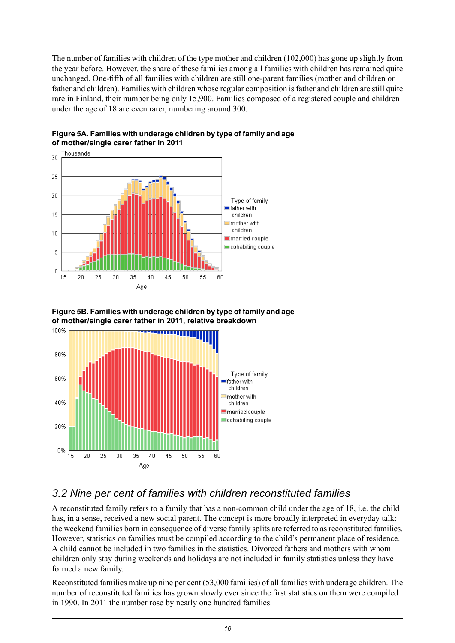The number of families with children of the type mother and children (102,000) has gone up slightly from the year before. However, the share of these families among all families with children has remained quite unchanged. One-fifth of all families with children are still one-parent families (mother and children or father and children). Families with children whose regular composition isfather and children are still quite rare in Finland, their number being only 15,900. Families composed of a registered couple and children under the age of 18 are even rarer, numbering around 300.



<span id="page-15-1"></span>

<span id="page-15-2"></span>



### <span id="page-15-0"></span>*3.2 Nine per cent of families with children reconstituted families*

A reconstituted family refers to a family that has a non-common child under the age of 18, i.e. the child has, in a sense, received a new social parent. The concept is more broadly interpreted in everyday talk: the weekend families born in consequence of diverse family splits are referred to as reconstituted families. However, statistics on families must be compiled according to the child's permanent place of residence. A child cannot be included in two families in the statistics. Divorced fathers and mothers with whom children only stay during weekends and holidays are not included in family statistics unless they have formed a new family.

Reconstituted families make up nine per cent (53,000 families) of all families with underage children. The number of reconstituted families has grown slowly ever since the first statistics on them were compiled in 1990. In 2011 the number rose by nearly one hundred families.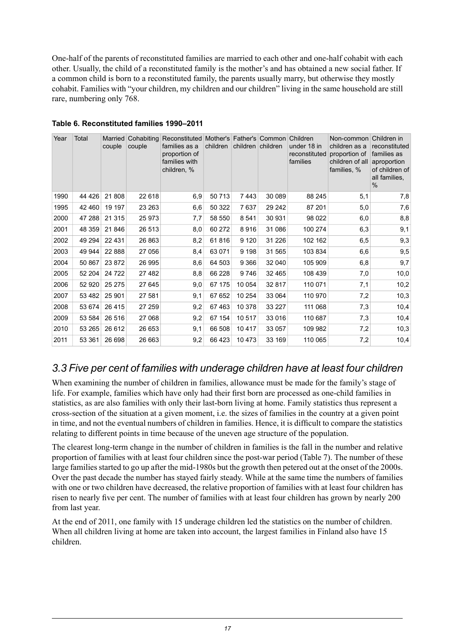One-half of the parents of reconstituted families are married to each other and one-half cohabit with each other. Usually, the child of a reconstituted family is the mother's and has obtained a new social father. If a common child is born to a reconstituted family, the parents usually marry, but otherwise they mostly cohabit. Families with "your children, my children and our children" living in the same household are still rare, numbering only 768.

| Year | Total   | couple   | Married Cohabiting<br>couple | Reconstituted Mother's Father's Common Children<br>families as a<br>proportion of<br>families with<br>children, % | children | children children |         | under 18 in<br>reconstituted<br>families | Non-common<br>children as a<br>proportion of<br>children of all<br>families, % | Children in<br>reconstituted<br>families as<br>aproportion<br>of children of<br>all families,<br>$\frac{0}{0}$ |
|------|---------|----------|------------------------------|-------------------------------------------------------------------------------------------------------------------|----------|-------------------|---------|------------------------------------------|--------------------------------------------------------------------------------|----------------------------------------------------------------------------------------------------------------|
| 1990 | 44 4 26 | 21 808   | 22 618                       | 6,9                                                                                                               | 50713    | 7443              | 30 089  | 88 245                                   | 5,1                                                                            | 7,8                                                                                                            |
| 1995 | 42 460  | 19 197   | 23 263                       | 6,6                                                                                                               | 50 322   | 7637              | 29 24 2 | 87 201                                   | 5,0                                                                            | 7,6                                                                                                            |
| 2000 | 47 288  | 21 315   | 25 973                       | 7,7                                                                                                               | 58 550   | 8541              | 30 931  | 98 0 22                                  | 6,0                                                                            | 8,8                                                                                                            |
| 2001 | 48 359  | 21 846   | 26 513                       | 8,0                                                                                                               | 60 272   | 8916              | 31 086  | 100 274                                  | 6,3                                                                            | 9,1                                                                                                            |
| 2002 | 49 294  | 22 4 31  | 26 863                       | 8,2                                                                                                               | 61816    | 9 1 2 0           | 31 2 26 | 102 162                                  | 6,5                                                                            | 9,3                                                                                                            |
| 2003 | 49 944  | 22 8 8 8 | 27 056                       | 8,4                                                                                                               | 63 071   | 9 1 9 8           | 31 565  | 103 834                                  | 6,6                                                                            | 9,5                                                                                                            |
| 2004 | 50 867  | 23 872   | 26 995                       | 8,6                                                                                                               | 64 503   | 9 3 6 6           | 32 040  | 105 909                                  | 6,8                                                                            | 9,7                                                                                                            |
| 2005 | 52 204  | 24 7 22  | 27 482                       | 8,8                                                                                                               | 66 228   | 9746              | 32 465  | 108 439                                  | 7,0                                                                            | 10,0                                                                                                           |
| 2006 | 52 920  | 25 275   | 27 645                       | 9,0                                                                                                               | 67 175   | 10 054            | 32 817  | 110 071                                  | 7,1                                                                            | 10,2                                                                                                           |
| 2007 | 53 482  | 25 901   | 27 581                       | 9,1                                                                                                               | 67 652   | 10 254            | 33 064  | 110 970                                  | 7,2                                                                            | 10,3                                                                                                           |
| 2008 | 53 674  | 26 4 15  | 27 259                       | 9,2                                                                                                               | 67463    | 10 378            | 33 227  | 111 068                                  | 7,3                                                                            | 10,4                                                                                                           |
| 2009 | 53 584  | 26 516   | 27 068                       | 9,2                                                                                                               | 67 154   | 10517             | 33 016  | 110 687                                  | 7,3                                                                            | 10,4                                                                                                           |
| 2010 | 53 265  | 26 612   | 26 653                       | 9,1                                                                                                               | 66 508   | 10417             | 33 057  | 109 982                                  | 7,2                                                                            | 10,3                                                                                                           |
| 2011 | 53 361  | 26 698   | 26 663                       | 9,2                                                                                                               | 66 423   | 10 473            | 33 169  | 110 065                                  | 7,2                                                                            | 10,4                                                                                                           |

#### <span id="page-16-1"></span>**Table 6. Reconstituted families 1990–2011**

### <span id="page-16-0"></span>*3.3 Five per cent of families with underage children have at least four children*

When examining the number of children in families, allowance must be made for the family's stage of life. For example, families which have only had their first born are processed as one-child families in statistics, as are also families with only their last-born living at home. Family statistics thus represent a cross-section of the situation at a given moment, i.e. the sizes of families in the country at a given point in time, and not the eventual numbers of children in families. Hence, it is difficult to compare the statistics relating to different points in time because of the uneven age structure of the population.

The clearest long-term change in the number of children in families is the fall in the number and relative proportion of families with at least four children since the post-war period (Table 7). The number of these large families started to go up after the mid-1980s but the growth then petered out at the onset of the 2000s. Over the past decade the number has stayed fairly steady. While at the same time the numbers of families with one or two children have decreased, the relative proportion of families with at least four children has risen to nearly five per cent. The number of families with at least four children has grown by nearly 200 from last year.

At the end of 2011, one family with 15 underage children led the statistics on the number of children. When all children living at home are taken into account, the largest families in Finland also have 15 children.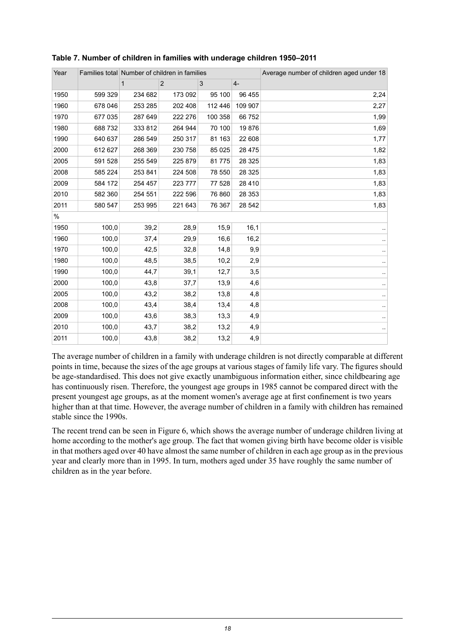| Year | Families total Number of children in families |              |         |         |          | Average number of children aged under 18 |
|------|-----------------------------------------------|--------------|---------|---------|----------|------------------------------------------|
|      |                                               | $\mathbf{1}$ | 2       | 3       | $4-$     |                                          |
| 1950 | 599 329                                       | 234 682      | 173 092 | 95 100  | 96 455   | 2,24                                     |
| 1960 | 678 046                                       | 253 285      | 202 408 | 112 446 | 109 907  | 2,27                                     |
| 1970 | 677 035                                       | 287 649      | 222 276 | 100 358 | 66752    | 1,99                                     |
| 1980 | 688 732                                       | 333 812      | 264 944 | 70 100  | 19876    | 1,69                                     |
| 1990 | 640 637                                       | 286 549      | 250 317 | 81 163  | 22 608   | 1,77                                     |
| 2000 | 612 627                                       | 268 369      | 230 758 | 85 0 25 | 28 4 7 5 | 1,82                                     |
| 2005 | 591 528                                       | 255 549      | 225 879 | 81775   | 28 3 25  | 1,83                                     |
| 2008 | 585 224                                       | 253 841      | 224 508 | 78 550  | 28 3 25  | 1,83                                     |
| 2009 | 584 172                                       | 254 457      | 223 777 | 77 528  | 28 4 10  | 1,83                                     |
| 2010 | 582 360                                       | 254 551      | 222 596 | 76 860  | 28 353   | 1,83                                     |
| 2011 | 580 547                                       | 253 995      | 221 643 | 76 367  | 28 542   | 1,83                                     |
| $\%$ |                                               |              |         |         |          |                                          |
| 1950 | 100,0                                         | 39,2         | 28,9    | 15,9    | 16,1     |                                          |
| 1960 | 100,0                                         | 37,4         | 29,9    | 16,6    | 16,2     |                                          |
| 1970 | 100,0                                         | 42,5         | 32,8    | 14,8    | 9,9      |                                          |
| 1980 | 100,0                                         | 48,5         | 38,5    | 10,2    | 2,9      |                                          |
| 1990 | 100,0                                         | 44,7         | 39,1    | 12,7    | 3,5      |                                          |
| 2000 | 100,0                                         | 43,8         | 37,7    | 13,9    | 4,6      |                                          |
| 2005 | 100,0                                         | 43,2         | 38,2    | 13,8    | 4,8      |                                          |
| 2008 | 100,0                                         | 43,4         | 38,4    | 13,4    | 4,8      |                                          |
| 2009 | 100,0                                         | 43,6         | 38,3    | 13,3    | 4,9      |                                          |
| 2010 | 100,0                                         | 43,7         | 38,2    | 13,2    | 4,9      |                                          |
| 2011 | 100,0                                         | 43,8         | 38,2    | 13,2    | 4,9      |                                          |

<span id="page-17-0"></span>

|  |  |  |  |  |  |  |  | Table 7. Number of children in families with underage children 1950-2011 |
|--|--|--|--|--|--|--|--|--------------------------------------------------------------------------|
|--|--|--|--|--|--|--|--|--------------------------------------------------------------------------|

The average number of children in a family with underage children is not directly comparable at different points in time, because the sizes of the age groups at various stages of family life vary. The figures should be age-standardised. This does not give exactly unambiguous information either, since childbearing age has continuously risen. Therefore, the youngest age groups in 1985 cannot be compared direct with the present youngest age groups, as at the moment women's average age at first confinement is two years higher than at that time. However, the average number of children in a family with children has remained stable since the 1990s.

The recent trend can be seen in Figure 6, which shows the average number of underage children living at home according to the mother's age group. The fact that women giving birth have become older is visible in that mothers aged over 40 have almost the same number of children in each age group as in the previous year and clearly more than in 1995. In turn, mothers aged under 35 have roughly the same number of children as in the year before.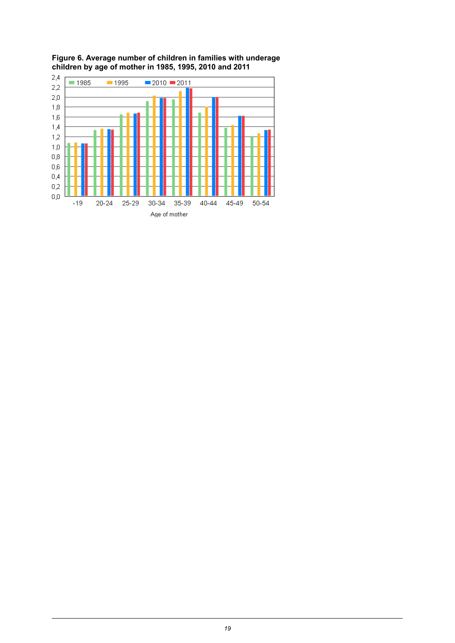

<span id="page-18-0"></span>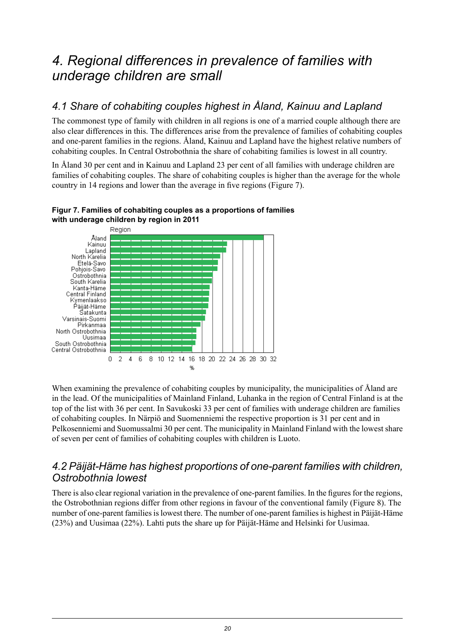## <span id="page-19-0"></span>*4. Regional differences in prevalence of families with underage children are small*

## <span id="page-19-1"></span>*4.1 Share of cohabiting couples highest in Åland, Kainuu and Lapland*

The commonest type of family with children in all regions is one of a married couple although there are also clear differences in this. The differences arise from the prevalence of families of cohabiting couples and one-parent families in the regions. Åland, Kainuu and Lapland have the highest relative numbers of cohabiting couples. In Central Ostrobothnia the share of cohabiting families is lowest in all country.

In Åland 30 per cent and in Kainuu and Lapland 23 per cent of all families with underage children are families of cohabiting couples. The share of cohabiting couples is higher than the average for the whole country in 14 regions and lower than the average in five regions (Figure 7).



#### <span id="page-19-3"></span>**Figur 7. Families of cohabiting couples as a proportions of families with underage children by region in 2011**

<span id="page-19-2"></span>When examining the prevalence of cohabiting couples by municipality, the municipalities of Åland are in the lead. Of the municipalities of Mainland Finland, Luhanka in the region of Central Finland is at the top of the list with 36 per cent. In Savukoski 33 per cent of families with underage children are families of cohabiting couples. In Närpiö and Suomenniemi the respective proportion is 31 per cent and in Pelkosenniemi and Suomussalmi 30 per cent. The municipality in Mainland Finland with the lowest share of seven per cent of families of cohabiting couples with children is Luoto.

### *4.2 Päijät-Häme has highest proportions of one-parent families with children, Ostrobothnia lowest*

There is also clear regional variation in the prevalence of one-parent families. In the figures for the regions, the Ostrobothnian regions differ from other regions in favour of the conventional family (Figure 8). The number of one-parent families is lowest there. The number of one-parent families is highest in Päijät-Häme (23%) and Uusimaa (22%). Lahti puts the share up for Päijät-Häme and Helsinki for Uusimaa.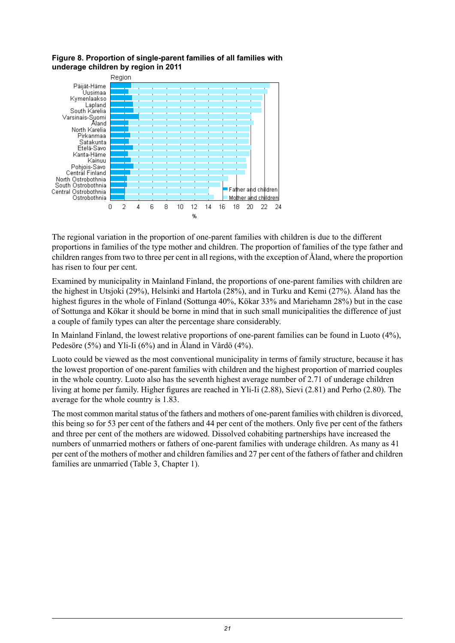

#### <span id="page-20-0"></span>**Figure 8. Proportion of single-parent families of all families with underage children by region in 2011**

The regional variation in the proportion of one-parent families with children is due to the different proportions in families of the type mother and children. The proportion of families of the type father and children rangesfrom two to three per cent in all regions, with the exception of Åland, where the proportion has risen to four per cent.

Examined by municipality in Mainland Finland, the proportions of one-parent families with children are the highest in Utsjoki (29%), Helsinki and Hartola (28%), and in Turku and Kemi (27%). Åland has the highest figures in the whole of Finland (Sottunga 40%, Kökar 33% and Mariehamn 28%) but in the case of Sottunga and Kökar it should be borne in mind that in such small municipalities the difference of just a couple of family types can alter the percentage share considerably.

In Mainland Finland, the lowest relative proportions of one-parent families can be found in Luoto (4%), Pedesöre (5%) and Yli-Ii (6%) and in Åland in Vårdö (4%).

Luoto could be viewed as the most conventional municipality in terms of family structure, because it has the lowest proportion of one-parent families with children and the highest proportion of married couples in the whole country. Luoto also has the seventh highest average number of 2.71 of underage children living at home per family. Higher figures are reached in Yli-Ii (2.88), Sievi (2.81) and Perho (2.80). The average for the whole country is 1.83.

The most common marital status of the fathers and mothers of one-parent families with children is divorced, this being so for 53 per cent of the fathers and 44 per cent of the mothers. Only five per cent of the fathers and three per cent of the mothers are widowed. Dissolved cohabiting partnerships have increased the numbers of unmarried mothers or fathers of one-parent families with underage children. As many as 41 per cent of the mothers of mother and children families and 27 per cent of the fathers of father and children families are unmarried (Table 3, Chapter 1).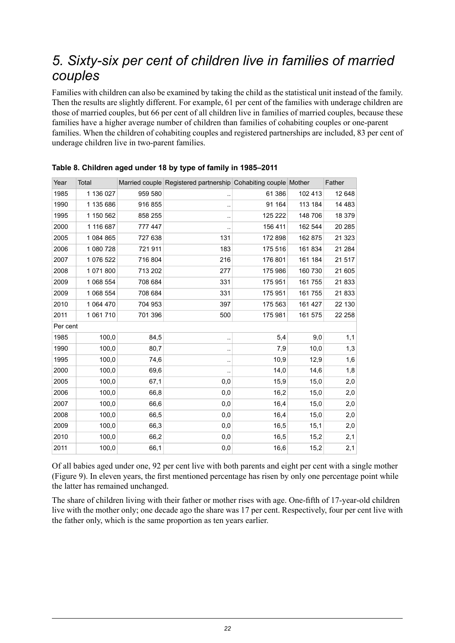## <span id="page-21-0"></span>*5. Sixty-six per cent of children live in families of married couples*

Families with children can also be examined by taking the child as the statistical unit instead of the family. Then the results are slightly different. For example, 61 per cent of the families with underage children are those of married couples, but 66 per cent of all children live in families of married couples, because these families have a higher average number of children than families of cohabiting couples or one-parent families. When the children of cohabiting couples and registered partnerships are included, 83 per cent of underage children live in two-parent families.

| Year     | Total     |         | Married couple Registered partnership Cohabiting couple Mother |         |         | Father   |
|----------|-----------|---------|----------------------------------------------------------------|---------|---------|----------|
| 1985     | 1 136 027 | 959 580 | $\ddot{\phantom{0}}$                                           | 61 386  | 102 413 | 12 648   |
| 1990     | 1 135 686 | 916 855 |                                                                | 91 164  | 113 184 | 14 4 8 3 |
| 1995     | 1 150 562 | 858 255 |                                                                | 125 222 | 148 706 | 18 379   |
| 2000     | 1 116 687 | 777 447 |                                                                | 156 411 | 162 544 | 20 285   |
| 2005     | 1 084 865 | 727 638 | 131                                                            | 172 898 | 162 875 | 21 3 23  |
| 2006     | 1 080 728 | 721 911 | 183                                                            | 175 516 | 161 834 | 21 284   |
| 2007     | 1 076 522 | 716 804 | 216                                                            | 176 801 | 161 184 | 21517    |
| 2008     | 1 071 800 | 713 202 | 277                                                            | 175 986 | 160 730 | 21 605   |
| 2009     | 1 068 554 | 708 684 | 331                                                            | 175 951 | 161 755 | 21833    |
| 2009     | 1 068 554 | 708 684 | 331                                                            | 175 951 | 161 755 | 21833    |
| 2010     | 1 064 470 | 704 953 | 397                                                            | 175 563 | 161 427 | 22 130   |
| 2011     | 1 061 710 | 701 396 | 500                                                            | 175 981 | 161 575 | 22 258   |
| Per cent |           |         |                                                                |         |         |          |
| 1985     | 100,0     | 84,5    | $\ddotsc$                                                      | 5,4     | 9,0     | 1,1      |
| 1990     | 100,0     | 80,7    | $\ddotsc$                                                      | 7,9     | 10,0    | 1,3      |
| 1995     | 100,0     | 74,6    | $\ddotsc$                                                      | 10,9    | 12,9    | 1,6      |
| 2000     | 100,0     | 69,6    | $\ddotsc$                                                      | 14,0    | 14,6    | 1,8      |
| 2005     | 100,0     | 67,1    | 0,0                                                            | 15,9    | 15,0    | 2,0      |
| 2006     | 100,0     | 66,8    | 0,0                                                            | 16,2    | 15,0    | 2,0      |
| 2007     | 100,0     | 66,6    | 0,0                                                            | 16,4    | 15,0    | 2,0      |
| 2008     | 100,0     | 66,5    | 0,0                                                            | 16,4    | 15,0    | 2,0      |
| 2009     | 100,0     | 66,3    | 0,0                                                            | 16,5    | 15,1    | 2,0      |
| 2010     | 100,0     | 66,2    | 0,0                                                            | 16,5    | 15,2    | 2,1      |
| 2011     | 100,0     | 66,1    | 0,0                                                            | 16,6    | 15,2    | 2,1      |

<span id="page-21-1"></span>**Table 8. Children aged under 18 by type of family in 1985–2011**

Of all babies aged under one, 92 per cent live with both parents and eight per cent with a single mother (Figure 9). In eleven years, the first mentioned percentage has risen by only one percentage point while the latter has remained unchanged.

The share of children living with their father or mother rises with age. One-fifth of 17-year-old children live with the mother only; one decade ago the share was 17 per cent. Respectively, four per cent live with the father only, which is the same proportion as ten years earlier.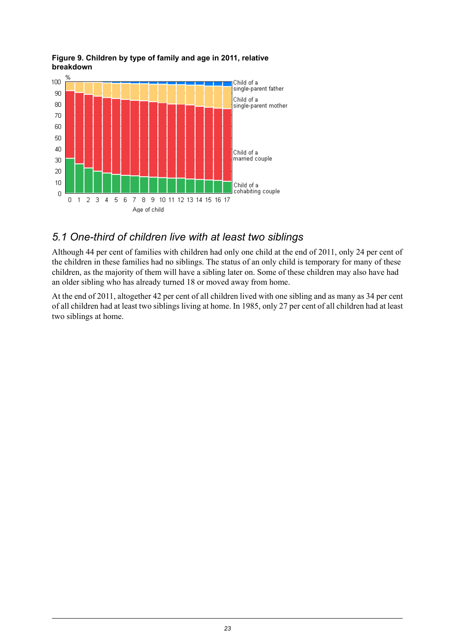

#### <span id="page-22-1"></span>**Figure 9. Children by type of family and age in 2011, relative breakdown**

### <span id="page-22-0"></span>*5.1 One-third of children live with at least two siblings*

Although 44 per cent of families with children had only one child at the end of 2011, only 24 per cent of the children in these families had no siblings. The status of an only child is temporary for many of these children, as the majority of them will have a sibling later on. Some of these children may also have had an older sibling who has already turned 18 or moved away from home.

At the end of 2011, altogether 42 per cent of all children lived with one sibling and as many as 34 per cent of all children had at least two siblings living at home. In 1985, only 27 per cent of all children had at least two siblings at home.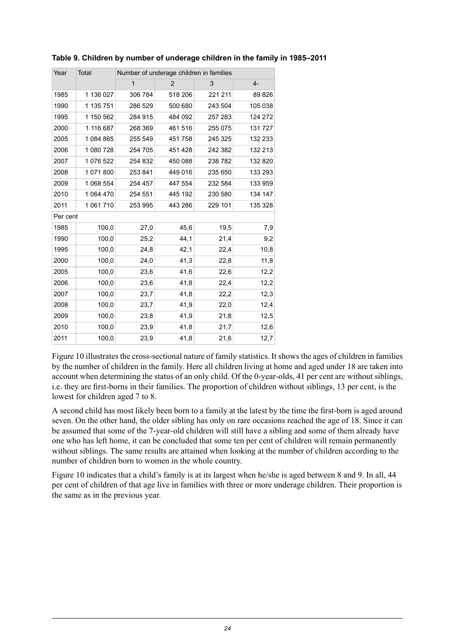| Year     | Total     |         | Number of underage children in families |         |         |
|----------|-----------|---------|-----------------------------------------|---------|---------|
|          |           | 1       | $\overline{2}$                          | 3       | $4-$    |
| 1985     | 1 136 027 | 306 784 | 518 206                                 | 221 211 | 89 826  |
| 1990     | 1 135 751 | 286 529 | 500 680                                 | 243 504 | 105 038 |
| 1995     | 1 150 562 | 284 915 | 484 092                                 | 257 283 | 124 272 |
| 2000     | 1 116 687 | 268 369 | 461 516                                 | 255 075 | 131 727 |
| 2005     | 1 084 865 | 255 549 | 451 758                                 | 245 325 | 132 233 |
| 2006     | 1 080 728 | 254 705 | 451 428                                 | 242 382 | 132 213 |
| 2007     | 1 076 522 | 254 832 | 450 088                                 | 238 782 | 132 820 |
| 2008     | 1071800   | 253 841 | 449 016                                 | 235 650 | 133 293 |
| 2009     | 1 068 554 | 254 457 | 447 554                                 | 232 584 | 133 959 |
| 2010     | 1 064 470 | 254 551 | 445 192                                 | 230 580 | 134 147 |
| 2011     | 1 061 710 | 253 995 | 443 286                                 | 229 101 | 135 328 |
| Per cent |           |         |                                         |         |         |
| 1985     | 100,0     | 27,0    | 45,6                                    | 19,5    | 7,9     |
| 1990     | 100,0     | 25,2    | 44,1                                    | 21,4    | 9,2     |
| 1995     | 100,0     | 24,8    | 42,1                                    | 22,4    | 10,8    |
| 2000     | 100,0     | 24,0    | 41,3                                    | 22,8    | 11,8    |
| 2005     | 100,0     | 23,6    | 41,6                                    | 22,6    | 12,2    |
| 2006     | 100,0     | 23,6    | 41,8                                    | 22,4    | 12,2    |
| 2007     | 100,0     | 23,7    | 41,8                                    | 22,2    | 12,3    |
| 2008     | 100,0     | 23,7    | 41,9                                    | 22,0    | 12,4    |
| 2009     | 100,0     | 23,8    | 41,9                                    | 21,8    | 12,5    |
| 2010     | 100,0     | 23,9    | 41,8                                    | 21,7    | 12,6    |
| 2011     | 100,0     | 23,9    | 41,8                                    | 21,6    | 12,7    |

<span id="page-23-0"></span>**Table 9. Children by number of underage children in the family in 1985–2011**

Figure 10 illustrates the cross-sectional nature of family statistics. It shows the ages of children in families by the number of children in the family. Here all children living at home and aged under 18 are taken into account when determining the status of an only child. Of the 0-year-olds, 41 per cent are without siblings, i.e. they are first-borns in their families. The proportion of children without siblings, 13 per cent, is the lowest for children aged 7 to 8.

A second child has most likely been born to a family at the latest by the time the first-born is aged around seven. On the other hand, the older sibling has only on rare occasions reached the age of 18. Since it can be assumed that some of the 7-year-old children will still have a sibling and some of them already have one who has left home, it can be concluded that some ten per cent of children will remain permanently without siblings. The same results are attained when looking at the number of children according to the number of children born to women in the whole country.

Figure 10 indicates that a child's family is at its largest when he/she is aged between 8 and 9. In all, 44 per cent of children of that age live in families with three or more underage children. Their proportion is the same as in the previous year.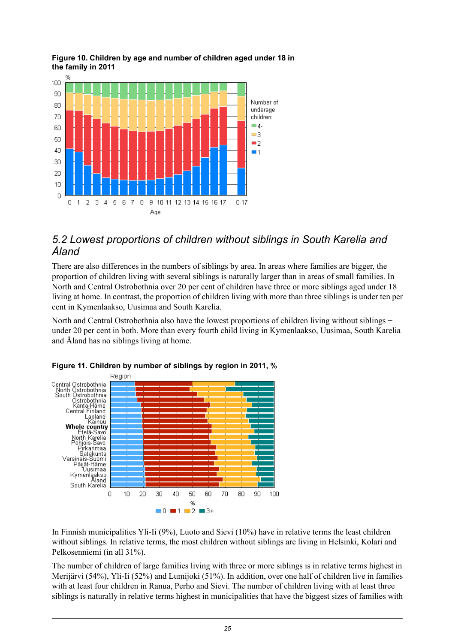

#### <span id="page-24-1"></span>**Figure 10. Children by age and number of children aged under 18 in the family in 2011**

### <span id="page-24-0"></span>*5.2 Lowest proportions of children without siblings in South Karelia and Åland*

There are also differences in the numbers of siblings by area. In areas where families are bigger, the proportion of children living with several siblings is naturally larger than in areas of small families. In North and Central Ostrobothnia over 20 per cent of children have three or more siblings aged under 18 living at home. In contrast, the proportion of children living with more than three siblings is under ten per cent in Kymenlaakso, Uusimaa and South Karelia.

<span id="page-24-2"></span>North and Central Ostrobothnia also have the lowest proportions of children living without siblings − under 20 per cent in both. More than every fourth child living in Kymenlaakso, Uusimaa, South Karelia and Åland has no siblings living at home.





In Finnish municipalities Yli-Ii (9%), Luoto and Sievi (10%) have in relative terms the least children without siblings. In relative terms, the most children without siblings are living in Helsinki, Kolari and Pelkosenniemi (in all 31%).

The number of children of large families living with three or more siblings is in relative terms highest in Merijärvi (54%), Yli-Ii (52%) and Lumijoki (51%). In addition, over one half of children live in families with at least four children in Ranua, Perho and Sievi. The number of children living with at least three siblings is naturally in relative terms highest in municipalities that have the biggest sizes of families with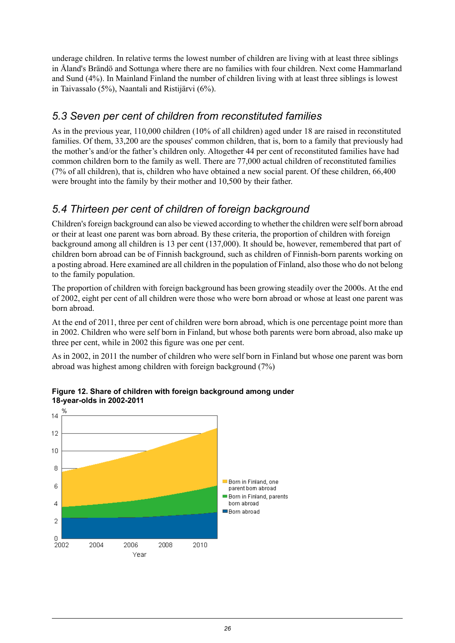underage children. In relative terms the lowest number of children are living with at least three siblings in Åland's Brändö and Sottunga where there are no families with four children. Next come Hammarland and Sund (4%). In Mainland Finland the number of children living with at least three siblings is lowest in Taivassalo (5%), Naantali and Ristijärvi (6%).

## <span id="page-25-0"></span>*5.3 Seven per cent of children from reconstituted families*

As in the previous year, 110,000 children (10% of all children) aged under 18 are raised in reconstituted families. Of them, 33,200 are the spouses' common children, that is, born to a family that previously had the mother's and/or the father's children only. Altogether 44 per cent of reconstituted families have had common children born to the family as well. There are 77,000 actual children of reconstituted families (7% of all children), that is, children who have obtained a new social parent. Of these children, 66,400 were brought into the family by their mother and 10,500 by their father.

## <span id="page-25-1"></span>*5.4 Thirteen per cent of children of foreign background*

Children's foreign background can also be viewed according to whether the children were self born abroad or their at least one parent was born abroad. By these criteria, the proportion of children with foreign background among all children is 13 per cent (137,000). It should be, however, remembered that part of children born abroad can be of Finnish background, such as children of Finnish-born parents working on a posting abroad. Here examined are all children in the population of Finland, also those who do not belong to the family population.

The proportion of children with foreign background has been growing steadily over the 2000s. At the end of 2002, eight per cent of all children were those who were born abroad or whose at least one parent was born abroad.

At the end of 2011, three per cent of children were born abroad, which is one percentage point more than in 2002. Children who were self born in Finland, but whose both parents were born abroad, also make up three per cent, while in 2002 this figure was one per cent.

<span id="page-25-2"></span>As in 2002, in 2011 the number of children who were self born in Finland but whose one parent was born abroad was highest among children with foreign background (7%)



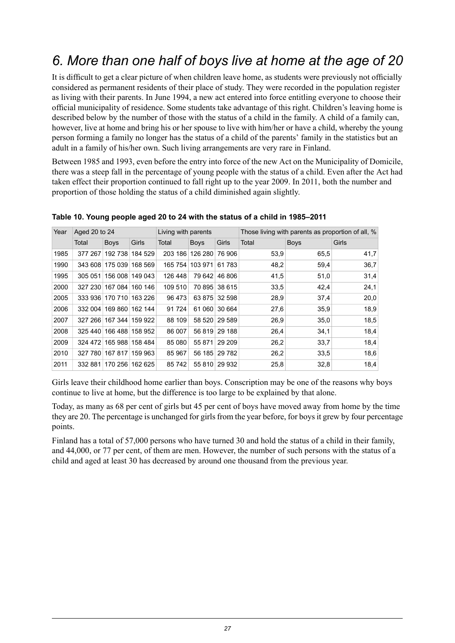## <span id="page-26-0"></span>*6. More than one half of boys live at home at the age of 20*

It is difficult to get a clear picture of when children leave home, as students were previously not officially considered as permanent residents of their place of study. They were recorded in the population register as living with their parents. In June 1994, a new act entered into force entitling everyone to choose their official municipality of residence. Some students take advantage of this right. Children's leaving home is described below by the number of those with the status of a child in the family. A child of a family can, however, live at home and bring his or her spouse to live with him/her or have a child, whereby the young person forming a family no longer has the status of a child of the parents' family in the statistics but an adult in a family of his/her own. Such living arrangements are very rare in Finland.

Between 1985 and 1993, even before the entry into force of the new Act on the Municipality of Domicile, there was a steep fall in the percentage of young people with the status of a child. Even after the Act had taken effect their proportion continued to fall right up to the year 2009. In 2011, both the number and proportion of those holding the status of a child diminished again slightly.

| Year | Aged 20 to 24 |                         |         | Living with parents |             |               | Those living with parents as proportion of all, % |             |       |  |
|------|---------------|-------------------------|---------|---------------------|-------------|---------------|---------------------------------------------------|-------------|-------|--|
|      | Total         | <b>Boys</b>             | Girls   | Total               | <b>Boys</b> | Girls         | Total                                             | <b>Boys</b> | Girls |  |
| 1985 | 377 267       | 192 738                 | 184 529 | 203 186             | 126 280     | 76 906        | 53.9                                              | 65.5        | 41,7  |  |
| 1990 |               | 343 608 175 039         | 168 569 | 165 754             | 103 971     | 61 783        | 48,2                                              | 59,4        | 36,7  |  |
| 1995 |               | 305 051 156 008 149 043 |         | 126 448             | 79 642      | 46 806        | 41,5                                              | 51,0        | 31,4  |  |
| 2000 |               | 327 230 167 084         | 160 146 | 109 510             |             | 70 895 38 615 | 33.5                                              | 42,4        | 24,1  |  |
| 2005 |               | 333 936 170 710         | 163 226 | 96 473              |             | 63 875 32 598 | 28,9                                              | 37,4        | 20,0  |  |
| 2006 |               | 332 004 169 860         | 162 144 | 91 7 24             | 61 060      | 30 664        | 27,6                                              | 35,9        | 18,9  |  |
| 2007 |               | 327 266 167 344         | 159 922 | 88 109              |             | 58 520 29 589 | 26,9                                              | 35.0        | 18,5  |  |
| 2008 |               | 325 440 166 488         | 158 952 | 86 007              | 56 819      | 29 188        | 26,4                                              | 34,1        | 18,4  |  |
| 2009 |               | 324 472 165 988         | 158 484 | 85 080              | 55 871      | 29 209        | 26,2                                              | 33,7        | 18,4  |  |
| 2010 |               | 327 780 167 817         | 159 963 | 85 967              |             | 56 185 29 782 | 26,2                                              | 33.5        | 18,6  |  |
| 2011 |               | 332 881 170 256 162 625 |         | 85742               |             | 55 810 29 932 | 25,8                                              | 32,8        | 18,4  |  |

#### <span id="page-26-1"></span>**Table 10. Young people aged 20 to 24 with the status of a child in 1985–2011**

Girls leave their childhood home earlier than boys. Conscription may be one of the reasons why boys continue to live at home, but the difference is too large to be explained by that alone.

Today, as many as 68 per cent of girls but 45 per cent of boys have moved away from home by the time they are 20. The percentage is unchanged for girls from the year before, for boys it grew by four percentage points.

Finland has a total of 57,000 persons who have turned 30 and hold the status of a child in their family, and 44,000, or 77 per cent, of them are men. However, the number of such persons with the status of a child and aged at least 30 has decreased by around one thousand from the previous year.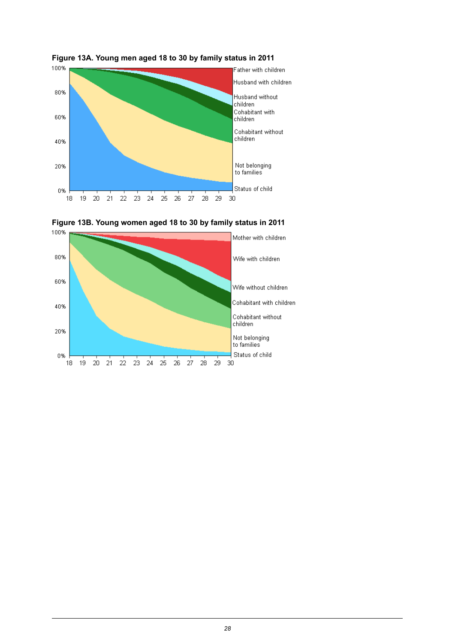

<span id="page-27-0"></span>



<span id="page-27-1"></span>![](_page_27_Figure_3.jpeg)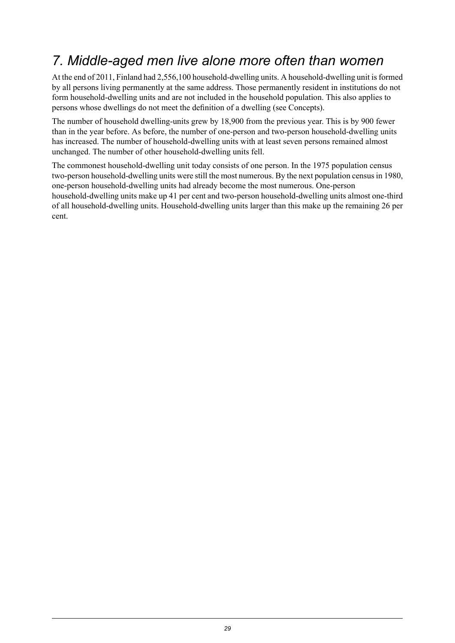## <span id="page-28-0"></span>*7. Middle-aged men live alone more often than women*

At the end of 2011, Finland had 2,556,100 household-dwelling units. A household-dwelling unit isformed by all persons living permanently at the same address. Those permanently resident in institutions do not form household-dwelling units and are not included in the household population. This also applies to persons whose dwellings do not meet the definition of a dwelling (see Concepts).

The number of household dwelling-units grew by 18,900 from the previous year. This is by 900 fewer than in the year before. As before, the number of one-person and two-person household-dwelling units has increased. The number of household-dwelling units with at least seven persons remained almost unchanged. The number of other household-dwelling units fell.

The commonest household-dwelling unit today consists of one person. In the 1975 population census two-person household-dwelling units were still the most numerous. By the next population censusin 1980, one-person household-dwelling units had already become the most numerous. One-person household-dwelling units make up 41 per cent and two-person household-dwelling units almost one-third of all household-dwelling units. Household-dwelling units larger than this make up the remaining 26 per cent.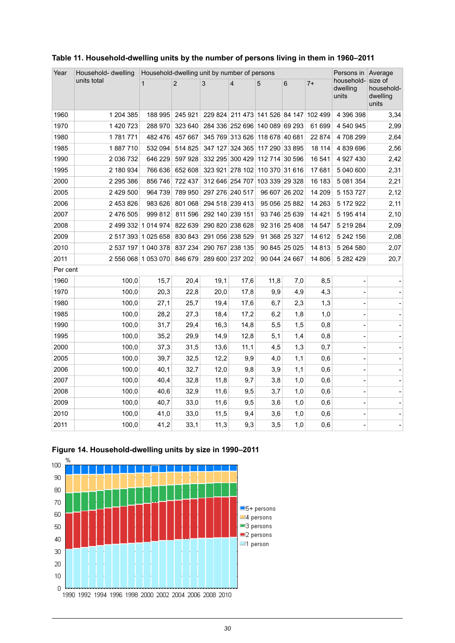| Year     | Household- dwelling | Household-dwelling unit by number of persons |                |                 |                                        |                | Persons in Average |         |                                 |                                            |
|----------|---------------------|----------------------------------------------|----------------|-----------------|----------------------------------------|----------------|--------------------|---------|---------------------------------|--------------------------------------------|
|          | units total         | $\mathbf{1}$                                 | $\overline{2}$ | 3               | $\overline{4}$                         | 5              | $\,6$              | $7+$    | household-<br>dwelling<br>units | size of<br>household-<br>dwelling<br>units |
| 1960     | 1 204 385           | 188 995                                      | 245 921        |                 | 229 824 211 473 141 526 84 147 102 499 |                |                    |         | 4 396 398                       | 3,34                                       |
| 1970     | 1 420 723           | 288 970                                      | 323 640        |                 | 284 336 252 696 140 089 69 293         |                |                    | 61 699  | 4 540 945                       | 2,99                                       |
| 1980     | 1781771             | 482 476                                      | 457 667        |                 | 345 769 313 626 118 678 40 681         |                |                    | 22 874  | 4708299                         | 2,64                                       |
| 1985     | 1887710             | 532 094                                      | 514 825        | 347 127         | 324 365                                | 117 290 33 895 |                    | 18 114  | 4 839 696                       | 2,56                                       |
| 1990     | 2 036 732           | 646 229                                      | 597 928        |                 | 332 295 300 429 112 714 30 596         |                |                    | 16 541  | 4 927 430                       | 2,42                                       |
| 1995     | 2 180 934           | 766 636                                      | 652 608        |                 | 323 921 278 102 110 370 31 616         |                |                    | 17 681  | 5 040 600                       | 2,31                                       |
| 2000     | 2 295 386           | 856 746                                      | 722 437        |                 | 312 646 254 707 103 339 29 328         |                |                    | 16 183  | 5 081 354                       | 2,21                                       |
| 2005     | 2 429 500           | 964 739                                      | 789 950        | 297 276 240 517 |                                        |                | 96 607 26 202      | 14 209  | 5 153 727                       | 2,12                                       |
| 2006     | 2 453 826           | 983 626                                      | 801 068        | 294 518 239 413 |                                        |                | 95 056 25 882      | 14 263  | 5 172 922                       | 2,11                                       |
| 2007     | 2 476 505           | 999 812                                      | 811 596        | 292 140 239 151 |                                        |                | 93 746 25 639      | 14 4 21 | 5 195 414                       | 2,10                                       |
| 2008     |                     | 2 499 332 1 014 974                          | 822 639        |                 | 290 820 238 628                        |                | 92 316 25 408      | 14 547  | 5 219 284                       | 2,09                                       |
| 2009     |                     | 2 517 393 1 025 658                          | 830 843        | 291 056 238 529 |                                        |                | 91 368 25 327      | 14 612  | 5 242 156                       | 2,08                                       |
| 2010     |                     | 2 537 197 1 040 378                          | 837 234        |                 | 290 767 238 135                        |                | 90 845 25 025      | 14 813  | 5 264 580                       | 2,07                                       |
| 2011     |                     | 2 556 068 1 053 070                          | 846 679        |                 | 289 600 237 202                        |                | 90 044 24 667      | 14 806  | 5 282 429                       | 20,7                                       |
| Per cent |                     |                                              |                |                 |                                        |                |                    |         |                                 |                                            |
| 1960     | 100,0               | 15,7                                         | 20,4           | 19,1            | 17,6                                   | 11,8           | 7,0                | 8,5     |                                 |                                            |
| 1970     | 100,0               | 20,3                                         | 22,8           | 20,0            | 17,8                                   | 9,9            | 4,9                | 4,3     |                                 |                                            |
| 1980     | 100,0               | 27,1                                         | 25,7           | 19,4            | 17,6                                   | 6,7            | 2,3                | 1,3     |                                 |                                            |
| 1985     | 100,0               | 28,2                                         | 27,3           | 18,4            | 17,2                                   | 6,2            | 1,8                | 1,0     |                                 |                                            |
| 1990     | 100,0               | 31,7                                         | 29,4           | 16,3            | 14,8                                   | 5,5            | 1,5                | 0,8     |                                 |                                            |
| 1995     | 100,0               | 35,2                                         | 29,9           | 14,9            | 12,8                                   | 5,1            | 1,4                | 0,8     |                                 |                                            |
| 2000     | 100,0               | 37,3                                         | 31,5           | 13,6            | 11,1                                   | 4,5            | 1,3                | 0,7     |                                 |                                            |
| 2005     | 100,0               | 39,7                                         | 32,5           | 12,2            | 9,9                                    | 4,0            | 1,1                | 0,6     | Ĭ.                              |                                            |
| 2006     | 100,0               | 40,1                                         | 32,7           | 12,0            | 9,8                                    | 3,9            | 1,1                | 0,6     |                                 |                                            |
| 2007     | 100,0               | 40,4                                         | 32,8           | 11,8            | 9,7                                    | 3,8            | 1,0                | 0,6     |                                 |                                            |
| 2008     | 100,0               | 40,6                                         | 32,9           | 11,6            | 9,5                                    | 3,7            | 1,0                | 0,6     |                                 |                                            |
| 2009     | 100,0               | 40,7                                         | 33,0           | 11,6            | 9,5                                    | 3,6            | 1,0                | 0,6     |                                 |                                            |
| 2010     | 100,0               | 41,0                                         | 33,0           | 11,5            | 9,4                                    | 3,6            | 1,0                | 0,6     |                                 |                                            |
| 2011     | 100,0               | 41,2                                         | 33,1           | 11,3            | 9,3                                    | 3,5            | 1,0                | 0,6     |                                 |                                            |

#### <span id="page-29-0"></span>**Table 11. Household-dwelling units by the number of persons living in them in 1960–2011**

![](_page_29_Figure_2.jpeg)

<span id="page-29-1"></span>![](_page_29_Figure_3.jpeg)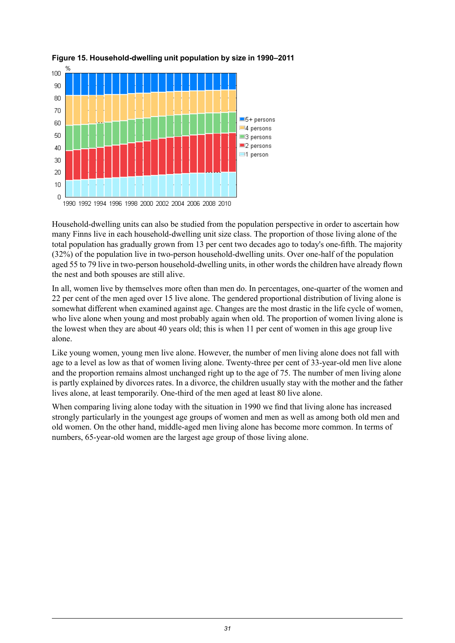![](_page_30_Figure_0.jpeg)

#### <span id="page-30-0"></span>**Figure 15. Household-dwelling unit population by size in 1990–2011**

Household-dwelling units can also be studied from the population perspective in order to ascertain how many Finns live in each household-dwelling unit size class. The proportion of those living alone of the total population has gradually grown from 13 per cent two decades ago to today's one-fifth. The majority (32%) of the population live in two-person household-dwelling units. Over one-half of the population aged 55 to 79 live in two-person household-dwelling units, in other words the children have already flown the nest and both spouses are still alive.

In all, women live by themselves more often than men do. In percentages, one-quarter of the women and 22 per cent of the men aged over 15 live alone. The gendered proportional distribution of living alone is somewhat different when examined against age. Changes are the most drastic in the life cycle of women, who live alone when young and most probably again when old. The proportion of women living alone is the lowest when they are about 40 years old; this is when 11 per cent of women in this age group live alone.

Like young women, young men live alone. However, the number of men living alone does not fall with age to a level as low as that of women living alone. Twenty-three per cent of 33-year-old men live alone and the proportion remains almost unchanged right up to the age of 75. The number of men living alone is partly explained by divorces rates. In a divorce, the children usually stay with the mother and the father lives alone, at least temporarily. One-third of the men aged at least 80 live alone.

When comparing living alone today with the situation in 1990 we find that living alone has increased strongly particularly in the youngest age groups of women and men as well as among both old men and old women. On the other hand, middle-aged men living alone has become more common. In terms of numbers, 65-year-old women are the largest age group of those living alone.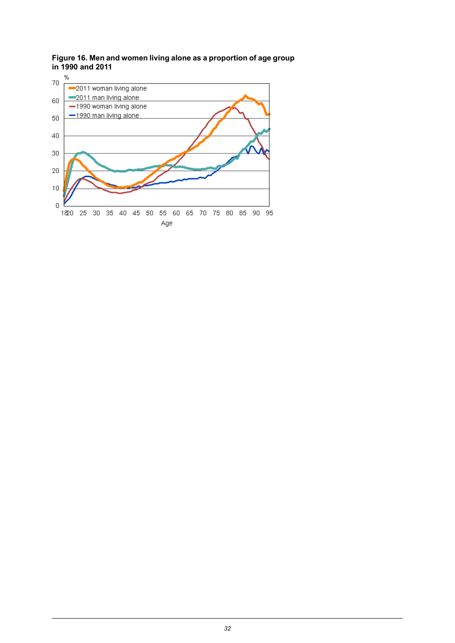<span id="page-31-0"></span>**Figure 16. Men and women living alone as a proportion of age group in 1990 and 2011**

![](_page_31_Figure_1.jpeg)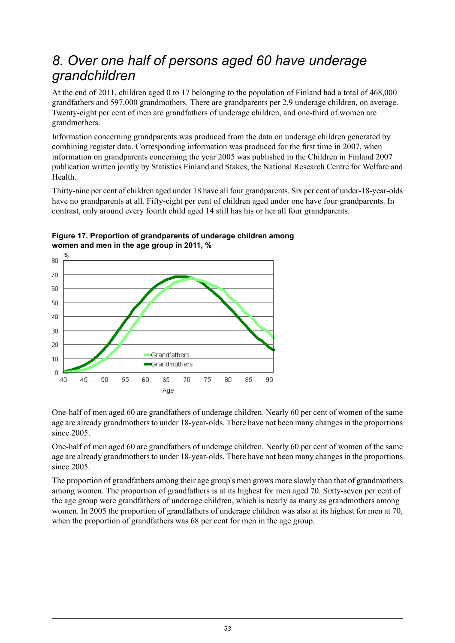## <span id="page-32-0"></span>*8. Over one half of persons aged 60 have underage grandchildren*

At the end of 2011, children aged 0 to 17 belonging to the population of Finland had a total of 468,000 grandfathers and 597,000 grandmothers. There are grandparents per 2.9 underage children, on average. Twenty-eight per cent of men are grandfathers of underage children, and one-third of women are grandmothers.

Information concerning grandparents was produced from the data on underage children generated by combining register data. Corresponding information was produced for the first time in 2007, when information on grandparents concerning the year 2005 was published in the Children in Finland 2007 publication written jointly by Statistics Finland and Stakes, the National Research Centre for Welfare and Health.

Thirty-nine per cent of children aged under 18 have all four grandparents. Six per cent of under-18-year-olds have no grandparents at all. Fifty-eight per cent of children aged under one have four grandparents. In contrast, only around every fourth child aged 14 still has his or her all four grandparents.

![](_page_32_Figure_4.jpeg)

<span id="page-32-1"></span>**Figure 17. Proportion of grandparents of underage children among women and men in the age group in 2011, %**

One-half of men aged 60 are grandfathers of underage children. Nearly 60 per cent of women of the same age are already grandmothers to under 18-year-olds. There have not been many changes in the proportions since 2005.

One-half of men aged 60 are grandfathers of underage children. Nearly 60 per cent of women of the same age are already grandmothers to under 18-year-olds. There have not been many changes in the proportions since 2005.

The proportion of grandfathers among their age group's men grows more slowly than that of grandmothers among women. The proportion of grandfathers is at its highest for men aged 70. Sixty-seven per cent of the age group were grandfathers of underage children, which is nearly as many as grandmothers among women. In 2005 the proportion of grandfathers of underage children was also at its highest for men at 70, when the proportion of grandfathers was 68 per cent for men in the age group.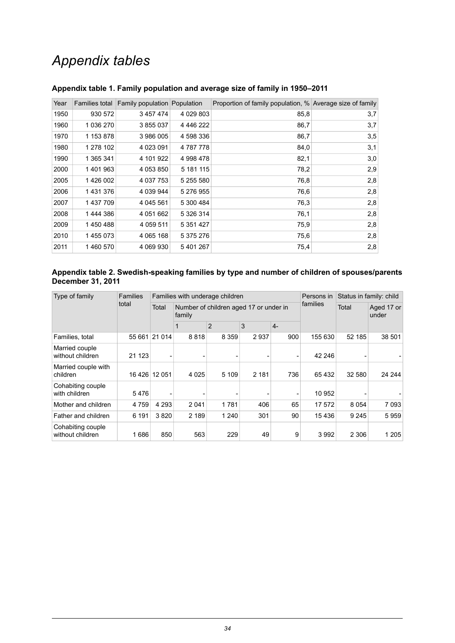## *Appendix tables*

| Year | Families total | Family population Population |               | Proportion of family population, % Average size of family |     |
|------|----------------|------------------------------|---------------|-----------------------------------------------------------|-----|
| 1950 | 930 572        | 3 457 474                    | 4 0 29 8 0 3  | 85,8                                                      | 3,7 |
| 1960 | 1 036 270      | 3855037                      | 4 446 222     | 86,7                                                      | 3,7 |
| 1970 | 1 153 878      | 3986005                      | 4 598 336     | 86,7                                                      | 3,5 |
| 1980 | 1 278 102      | 4 023 091                    | 4 787 778     | 84,0                                                      | 3,1 |
| 1990 | 1 365 341      | 4 101 922                    | 4 998 478     | 82,1                                                      | 3,0 |
| 2000 | 1401963        | 4 053 850                    | 5 181 115     | 78,2                                                      | 2,9 |
| 2005 | 1426 002       | 4 037 753                    | 5 255 580     | 76,8                                                      | 2,8 |
| 2006 | 1431376        | 4 039 944                    | 5 276 955     | 76,6                                                      | 2,8 |
| 2007 | 1437709        | 4 045 561                    | 5 300 484     | 76,3                                                      | 2,8 |
| 2008 | 1444386        | 4 051 662                    | 5 326 314     | 76,1                                                      | 2,8 |
| 2009 | 1450488        | 4 0 5 9 5 1 1                | 5 3 5 1 4 2 7 | 75,9                                                      | 2,8 |
| 2010 | 1455073        | 4 065 168                    | 5 375 276     | 75,6                                                      | 2,8 |
| 2011 | 1 460 570      | 4 069 930                    | 5 401 267     | 75.4                                                      | 2,8 |

#### <span id="page-33-0"></span>**Appendix table 1. Family population and average size of family in 1950–2011**

#### <span id="page-33-1"></span>**Appendix table 2. Swedish-speaking families by type and number of children of spouses/parents December 31, 2011**

| Type of family                        | <b>Families</b><br>total |         |         | Families with underage children        |          |       | Persons in          | Status in family: child |         |  |
|---------------------------------------|--------------------------|---------|---------|----------------------------------------|----------|-------|---------------------|-------------------------|---------|--|
|                                       |                          | Total   | family  | Number of children aged 17 or under in | families | Total | Aged 17 or<br>under |                         |         |  |
|                                       |                          |         |         | $\overline{2}$                         | 3        | $4-$  |                     |                         |         |  |
| Families, total                       | 55 661                   | 21 0 14 | 8818    | 8 3 5 9                                | 2937     | 900   | 155 630             | 52 185                  | 38 501  |  |
| Married couple<br>without children    | 21 1 23                  |         |         |                                        |          |       | 42 246              |                         |         |  |
| Married couple with<br>children       | 16 426                   | 12 051  | 4 0 2 5 | 5 1 0 9                                | 2 1 8 1  | 736   | 65432               | 32 580                  | 24 244  |  |
| Cohabiting couple<br>with children    | 5476                     |         |         |                                        |          |       | 10 952              |                         |         |  |
| Mother and children                   | 4759                     | 4 2 9 3 | 2 0 4 1 | 1781                                   | 406      | 65    | 17 572              | 8 0 5 4                 | 7093    |  |
| Father and children                   | 6 191                    | 3820    | 2 189   | 1 2 4 0                                | 301      | 90    | 15436               | 9 2 4 5                 | 5959    |  |
| Cohabiting couple<br>without children | 1686                     | 850     | 563     | 229                                    | 49       | 9     | 3992                | 2 3 0 6                 | 1 2 0 5 |  |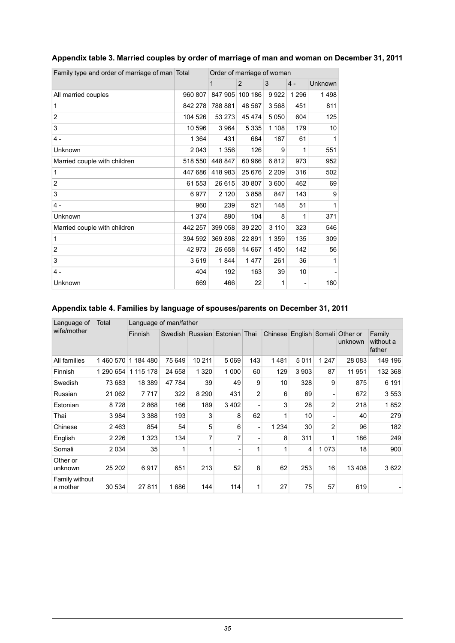| Order of marriage of woman<br>Family type and order of marriage of man Total |         |         |                |         |         |         |  |
|------------------------------------------------------------------------------|---------|---------|----------------|---------|---------|---------|--|
|                                                                              |         | 1       | $\overline{2}$ | 3       | $4 -$   | Unknown |  |
| All married couples                                                          | 960 807 | 847 905 | 100 186        | 9922    | 1 2 9 6 | 1498    |  |
| 1                                                                            | 842 278 | 788 881 | 48 567         | 3568    | 451     | 811     |  |
| $\overline{2}$                                                               | 104 526 | 53 273  | 45 474         | 5050    | 604     | 125     |  |
| 3                                                                            | 10 596  | 3 9 6 4 | 5 3 3 5        | 1 1 0 8 | 179     | 10      |  |
| $4 -$                                                                        | 1 3 6 4 | 431     | 684            | 187     | 61      | 1       |  |
| Unknown                                                                      | 2043    | 1 356   | 126            | 9       | 1       | 551     |  |
| Married couple with children                                                 | 518 550 | 448 847 | 60 966         | 6812    | 973     | 952     |  |
| 1                                                                            | 447 686 | 418 983 | 25 676         | 2 2 0 9 | 316     | 502     |  |
| 2                                                                            | 61 553  | 26 615  | 30 807         | 3600    | 462     | 69      |  |
| 3                                                                            | 6977    | 2 1 2 0 | 3858           | 847     | 143     | 9       |  |
| $4 -$                                                                        | 960     | 239     | 521            | 148     | 51      | 1       |  |
| Unknown                                                                      | 1 3 7 4 | 890     | 104            | 8       | 1       | 371     |  |
| Married couple with children                                                 | 442 257 | 399 058 | 39 220         | 3 1 1 0 | 323     | 546     |  |
| 1                                                                            | 394 592 | 369898  | 22 891         | 1 3 5 9 | 135     | 309     |  |
| $\overline{2}$                                                               | 42973   | 26 658  | 14 667         | 1450    | 142     | 56      |  |
| 3                                                                            | 3619    | 1844    | 1477           | 261     | 36      | 1       |  |
| $4 -$                                                                        | 404     | 192     | 163            | 39      | 10      |         |  |
| Unknown                                                                      | 669     | 466     | 22             | 1       |         | 180     |  |

#### <span id="page-34-0"></span>**Appendix table 3. Married couples by order of marriage of man and woman on December 31, 2011**

#### <span id="page-34-1"></span>**Appendix table 4. Families by language of spouses/parents on December 31, 2011**

| Language of                | Total     | Language of man/father |        |         |                               |                |         |         |              |                                    |                               |
|----------------------------|-----------|------------------------|--------|---------|-------------------------------|----------------|---------|---------|--------------|------------------------------------|-------------------------------|
| wife/mother                |           | Finnish                |        |         | Swedish Russian Estonian Thai |                | Chinese |         |              | English Somali Other or<br>unknown | Family<br>without a<br>father |
| All families               | 1460570   | 1 184 480              | 75 649 | 10 211  | 5069                          | 143            | 1481    | 5 0 1 1 | 1 2 4 7      | 28 0 83                            | 149 196                       |
| Finnish                    | 1 290 654 | 1 115 178              | 24 658 | 1 3 2 0 | 1 0 0 0                       | 60             | 129     | 3 9 0 3 | 87           | 11 951                             | 132 368                       |
| Swedish                    | 73 683    | 18 3 89                | 47 784 | 39      | 49                            | 9              | 10      | 328     | 9            | 875                                | 6 191                         |
| Russian                    | 21 062    | 7 7 1 7                | 322    | 8 2 9 0 | 431                           | $\overline{2}$ | 6       | 69      |              | 672                                | 3553                          |
| Estonian                   | 8728      | 2868                   | 166    | 189     | 3402                          | ۰              | 3       | 28      | 2            | 218                                | 1852                          |
| Thai                       | 3 9 8 4   | 3 3 8 8                | 193    | 3       | 8                             | 62             | 1       | 10      |              | 40                                 | 279                           |
| Chinese                    | 2463      | 854                    | 54     | 5       | 6                             | ۰              | 1 2 3 4 | 30      | 2            | 96                                 | 182                           |
| English                    | 2 2 2 6   | 1 3 2 3                | 134    | 7       | 7                             | -              | 8       | 311     | $\mathbf{1}$ | 186                                | 249                           |
| Somali                     | 2 0 3 4   | 35                     | 1      | 1       |                               | $\mathbf{1}$   | 1       | 4       | 1073         | 18                                 | 900                           |
| Other or<br>unknown        | 25 20 2   | 6917                   | 651    | 213     | 52                            | 8              | 62      | 253     | 16           | 13 408                             | 3622                          |
| Family without<br>a mother | 30 534    | 27 811                 | 1686   | 144     | 114                           | 1              | 27      | 75      | 57           | 619                                |                               |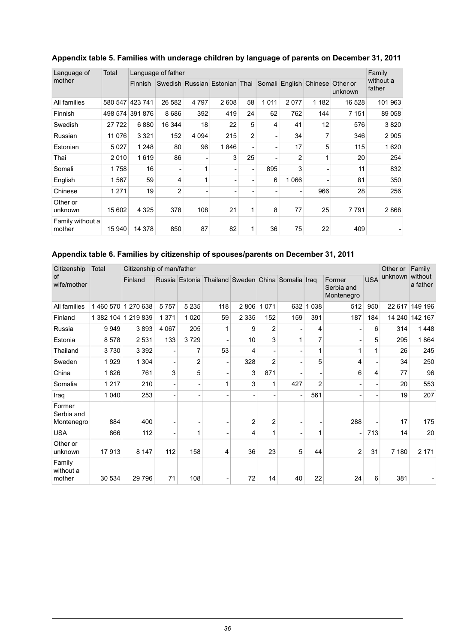| Language of                | Total   |                 | Language of father |         |                               |    |         |                |                        |                     | Family              |
|----------------------------|---------|-----------------|--------------------|---------|-------------------------------|----|---------|----------------|------------------------|---------------------|---------------------|
| mother                     |         | <b>Finnish</b>  |                    |         | Swedish Russian Estonian Thai |    |         |                | Somali English Chinese | Other or<br>unknown | without a<br>father |
| All families               | 580 547 | 423 741         | 26 582             | 4 7 9 7 | 2608                          | 58 | 1 0 1 1 | 2077           | 1 182                  | 16 528              | 101 963             |
| Finnish                    |         | 498 574 391 876 | 8686               | 392     | 419                           | 24 | 62      | 762            | 144                    | 7 1 5 1             | 89 058              |
| Swedish                    | 27 722  | 6880            | 16 344             | 18      | 22                            | 5  | 4       | 41             | 12                     | 576                 | 3820                |
| Russian                    | 11 0 76 | 3 3 2 1         | 152                | 4 0 9 4 | 215                           | 2  |         | 34             | 7                      | 346                 | 2905                |
| Estonian                   | 5 0 2 7 | 1 2 4 8         | 80                 | 96      | 1846                          |    |         | 17             | 5                      | 115                 | 1620                |
| Thai                       | 2010    | 1619            | 86                 |         | 3                             | 25 |         | $\overline{2}$ | 1                      | 20                  | 254                 |
| Somali                     | 1758    | 16              |                    | 1       |                               |    | 895     | 3              |                        | 11                  | 832                 |
| English                    | 1567    | 59              | 4                  | 1       |                               |    | 6       | 1066           |                        | 81                  | 350                 |
| Chinese                    | 1 2 7 1 | 19              | $\overline{2}$     |         |                               |    |         |                | 966                    | 28                  | 256                 |
| Other or<br>unknown        | 15 602  | 4 3 2 5         | 378                | 108     | 21                            | 1  | 8       | 77             | 25                     | 7791                | 2868                |
| Family without a<br>mother | 15 940  | 14 378          | 850                | 87      | 82                            | 1  | 36      | 75             | 22                     | 409                 |                     |

#### <span id="page-35-0"></span>**Appendix table 5. Families with underage children by language of parents on December 31, 2011**

#### <span id="page-35-1"></span>**Appendix table 6. Families by citizenship of spouses/parents on December 31, 2011**

| Citizenship                        | Total     | Citizenship of man/father |         |         |                                                   |         |                |                          |                |                                    |            | Other or | Family              |
|------------------------------------|-----------|---------------------------|---------|---------|---------------------------------------------------|---------|----------------|--------------------------|----------------|------------------------------------|------------|----------|---------------------|
| of<br>wife/mother                  |           | Finland                   |         |         | Russia Estonia Thailand Sweden China Somalia Iraq |         |                |                          |                | Former<br>Serbia and<br>Montenegro | <b>USA</b> | unknown  | without<br>a father |
| All families                       | 1460570   | 1 270 638                 | 5757    | 5 2 3 5 | 118                                               | 2806    | 1071           | 632                      | 1 0 3 8        | 512                                | 950        | 22 617   | 149 196             |
| Finland                            | 1 382 104 | 1 219 839                 | 1 3 7 1 | 1 0 2 0 | 59                                                | 2 3 3 5 | 152            | 159                      | 391            | 187                                | 184        | 14 240   | 142 167             |
| Russia                             | 9949      | 3893                      | 4 0 6 7 | 205     | 1                                                 | 9       | $\overline{2}$ | $\overline{\phantom{a}}$ | 4              |                                    | 6          | 314      | 1448                |
| Estonia                            | 8578      | 2 5 3 1                   | 133     | 3729    |                                                   | 10      | 3              | 1                        | 7              |                                    | 5          | 295      | 1864                |
| Thailand                           | 3730      | 3 3 9 2                   |         | 7       | 53                                                | 4       |                |                          | 1              | 1                                  |            | 26       | 245                 |
| Sweden                             | 1929      | 1 3 0 4                   |         | 2       | $\blacksquare$                                    | 328     | $\overline{2}$ | $\overline{\phantom{a}}$ | 5              | 4                                  |            | 34       | 250                 |
| China                              | 1826      | 761                       | 3       | 5       |                                                   | 3       | 871            |                          |                | 6                                  | 4          | 77       | 96                  |
| Somalia                            | 1217      | 210                       |         |         | 1                                                 | 3       | 1              | 427                      | $\overline{2}$ |                                    |            | 20       | 553                 |
| Iraq                               | 1 0 4 0   | 253                       |         |         |                                                   |         |                | $\overline{\phantom{a}}$ | 561            |                                    |            | 19       | 207                 |
| Former<br>Serbia and<br>Montenegro | 884       | 400                       |         |         |                                                   | 2       | $\overline{2}$ | $\overline{a}$           |                | 288                                |            | 17       | 175                 |
| <b>USA</b>                         | 866       | 112                       |         | 1       |                                                   | 4       | 1              | $\overline{\phantom{a}}$ | 1              |                                    | 713        | 14       | 20                  |
| Other or<br>unknown                | 17913     | 8 1 4 7                   | 112     | 158     | 4                                                 | 36      | 23             | 5                        | 44             | 2                                  | 31         | 7 180    | 2 1 7 1             |
| Family<br>without a<br>mother      | 30 534    | 29 7 9 6                  | 71      | 108     |                                                   | 72      | 14             | 40                       | 22             | 24                                 | 6          | 381      |                     |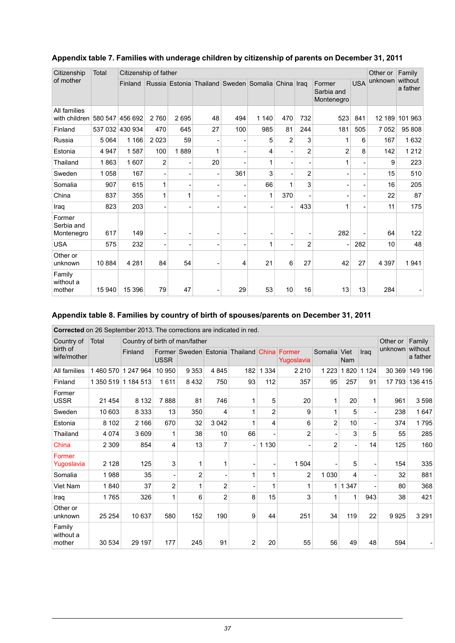| Citizenship                           | Total   | Citizenship of father |                |      |                                                   |     |                |                |                |                                    |            | Other or | Family              |
|---------------------------------------|---------|-----------------------|----------------|------|---------------------------------------------------|-----|----------------|----------------|----------------|------------------------------------|------------|----------|---------------------|
| of mother                             |         | Finland               |                |      | Russia Estonia Thailand Sweden Somalia China Iraq |     |                |                |                | Former<br>Sarbia and<br>Montenegro | <b>USA</b> | unknown  | without<br>a father |
| All families<br>with children 580 547 |         | 456 692               | 2760           | 2695 | 48                                                | 494 | 1 140          | 470            | 732            | 523                                | 841        | 12 189   | 101 963             |
| Finland                               | 537 032 | 430 934               | 470            | 645  | 27                                                | 100 | 985            | 81             | 244            | 181                                | 505        | 7052     | 95 808              |
| Russia                                | 5 0 64  | 1 1 6 6               | 2 0 2 3        | 59   | ۰                                                 |     | 5              | $\overline{2}$ | 3              | 1                                  | 6          | 167      | 1632                |
| Estonia                               | 4 9 4 7 | 1587                  | 100            | 1889 | 1                                                 |     | 4              |                | $\overline{2}$ | $\overline{2}$                     | 8          | 142      | 1 2 1 2             |
| Thailand                              | 1863    | 1607                  | $\overline{2}$ |      | 20                                                |     | 1              | $\blacksquare$ |                | 1                                  |            | 9        | 223                 |
| Sweden                                | 1 0 5 8 | 167                   |                |      | $\overline{a}$                                    | 361 | 3              |                | $\overline{2}$ |                                    |            | 15       | 510                 |
| Somalia                               | 907     | 615                   | 1              |      | ۰                                                 |     | 66             | 1              | 3              |                                    |            | 16       | 205                 |
| China                                 | 837     | 355                   | 1              | 1    |                                                   |     | 1              | 370            | ۰              |                                    |            | 22       | 87                  |
| Iraq                                  | 823     | 203                   |                |      |                                                   |     | $\blacksquare$ |                | 433            | 1                                  |            | 11       | 175                 |
| Former<br>Serbia and<br>Montenegro    | 617     | 149                   |                |      |                                                   |     |                |                |                | 282                                |            | 64       | 122                 |
| <b>USA</b>                            | 575     | 232                   |                |      |                                                   |     | 1              |                | $\overline{2}$ |                                    | 282        | 10       | 48                  |
| Other or<br>unknown                   | 10 884  | 4 2 8 1               | 84             | 54   | ۰                                                 | 4   | 21             | 6              | 27             | 42                                 | 27         | 4 3 9 7  | 1941                |
| Family<br>without a<br>mother         | 15 940  | 15 396                | 79             | 47   | $\overline{a}$                                    | 29  | 53             | 10             | 16             | 13                                 | 13         | 284      |                     |

#### <span id="page-36-0"></span>**Appendix table 7. Families with underage children by citizenship of parents on December 31, 2011**

#### <span id="page-36-1"></span>**Appendix table 8. Families by country of birth of spouses/parents on December 31, 2011**

| Corrected on 26 September 2013. The corrections are indicated in red. |
|-----------------------------------------------------------------------|
|-----------------------------------------------------------------------|

| Country of                    | Total     | Country of birth of man/father |                |                |                |                                      |         |                      |                |             |         | Other or | Family<br>without<br>a father |
|-------------------------------|-----------|--------------------------------|----------------|----------------|----------------|--------------------------------------|---------|----------------------|----------------|-------------|---------|----------|-------------------------------|
| birth of<br>wife/mother       |           | Finland                        | <b>USSR</b>    |                |                | Former Sweden Estonia Thailand China |         | Former<br>Yugoslavia | Somalia        | Viet<br>Nam | Iraq    | unknown  |                               |
| All families                  | 1460570   | 1 247 964                      | 10 950         | 9 3 5 3        | 4845           | 182                                  | 334     | 2 2 1 0              | 1 2 2 3        | 1820        | 1 1 2 4 | 30 369   | 149 196                       |
| Finland                       | 1 350 519 | 1 184 513                      | 1611           | 8 4 3 2        | 750            | 93                                   | 112     | 357                  | 95             | 257         | 91      | 17 793   | 136 415                       |
| Former<br><b>USSR</b>         | 21 4 5 4  | 8 1 3 2                        | 7888           | 81             | 746            |                                      | 5       | 20                   | 1              | 20          |         | 961      | 3598                          |
| Sweden                        | 10 603    | 8 3 3 3                        | 13             | 350            | 4              | 1                                    | 2       | 9                    | 1              | 5           |         | 238      | 1647                          |
| Estonia                       | 8 1 0 2   | 2 1 6 6                        | 670            | 32             | 3 0 4 2        | 1                                    | 4       | 6                    | $\overline{2}$ | 10          |         | 374      | 1795                          |
| Thailand                      | 4 0 7 4   | 3609                           | 1              | 38             | 10             | 66                                   |         | $\overline{2}$       |                | 3           | 5       | 55       | 285                           |
| China                         | 2 3 0 9   | 854                            | 4              | 13             | 7              | L,                                   | 1 1 3 0 |                      | $\overline{2}$ |             | 14      | 125      | 160                           |
| Former<br>Yugoslavia          | 2 1 2 8   | 125                            | 3              | 1              |                |                                      |         | 1 504                |                | 5           |         | 154      | 335                           |
| Somalia                       | 1988      | 35                             |                | $\overline{2}$ |                | 1                                    |         | 2                    | 1 0 3 0        | 4           |         | 32       | 881                           |
| Viet Nam                      | 1840      | 37                             | $\overline{2}$ | 1              | $\overline{2}$ |                                      |         |                      | 1              | 1 3 4 7     |         | 80       | 368                           |
| Iraq                          | 1765      | 326                            | 1              | 6              | $\overline{2}$ | 8                                    | 15      | 3                    |                | 1           | 943     | 38       | 421                           |
| Other or<br>unknown           | 25 254    | 10 637                         | 580            | 152            | 190            | 9                                    | 44      | 251                  | 34             | 119         | 22      | 9925     | 3 2 9 1                       |
| Family<br>without a<br>mother | 30 534    | 29 197                         | 177            | 245            | 91             | $\overline{2}$                       | 20      | 55                   | 56             | 49          | 48      | 594      |                               |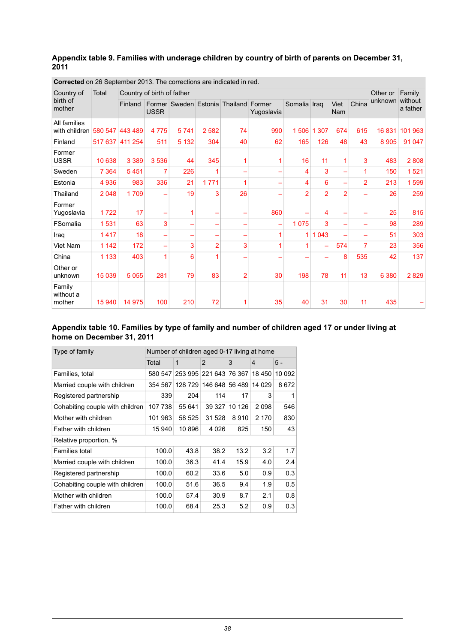#### <span id="page-37-0"></span>**Appendix table 9. Families with underage children by country of birth of parents on December 31, 2011**

| <b>OUTBURG</b> OIL ZO OBDIGHINGLED TO. THE CONGUIUS ALE INDICATED IN TEQ. |         |                            |             |         |                |                                |                      |                |                |                    |                |          |                     |
|---------------------------------------------------------------------------|---------|----------------------------|-------------|---------|----------------|--------------------------------|----------------------|----------------|----------------|--------------------|----------------|----------|---------------------|
| Country of                                                                | Total   | Country of birth of father |             |         |                |                                |                      |                |                |                    |                | Other or | Family              |
| birth of<br>mother                                                        |         | Finland                    | <b>USSR</b> |         |                | Former Sweden Estonia Thailand | Former<br>Yugoslavia | Somalia Iraq   |                | Viet<br><b>Nam</b> | China          | unknown  | without<br>a father |
| All families<br>with children 580 547                                     |         | 443 489                    | 4775        | 5741    | 2 5 8 2        | 74                             | 990                  | 1506           | 1 307          | 674                | 615            | 16831    | 101 963             |
| Finland                                                                   | 517 637 | 411 254                    | 511         | 5 1 3 2 | 304            | 40                             | 62                   | 165            | 126            | 48                 | 43             | 8 9 0 5  | 91 047              |
| Former<br><b>USSR</b>                                                     | 10 638  | 3 3 8 9                    | 3 5 3 6     | 44      | 345            |                                |                      | 16             | 11             |                    | 3              | 483      | 2808                |
| Sweden                                                                    | 7 3 6 4 | 5451                       | 7           | 226     |                |                                |                      | 4              | 3              |                    |                | 150      | 1521                |
| Estonia                                                                   | 4 9 3 6 | 983                        | 336         | 21      | 1771           | 1                              |                      | 4              | 6              |                    | $\overline{2}$ | 213      | 599<br>1            |
| Thailand                                                                  | 2 0 4 8 | 1709                       |             | 19      | 3              | 26                             |                      | $\overline{2}$ | $\overline{2}$ | $\overline{2}$     |                | 26       | 259                 |
| Former<br>Yugoslavia                                                      | 1722    | 17                         |             | 1       |                |                                | 860                  |                | 4              |                    |                | 25       | 815                 |
| FSomalia                                                                  | 1531    | 63                         | 3           |         |                |                                |                      | 1075           | 3              |                    |                | 98       | 289                 |
| Iraq                                                                      | 1417    | 18                         |             |         |                |                                | 1                    | 1              | 1 0 4 3        |                    |                | 51       | 303                 |
| Viet Nam                                                                  | 1 1 4 2 | 172                        | -           | 3       | $\overline{2}$ | 3                              |                      |                |                | 574                |                | 23       | 356                 |
| China                                                                     | 1 1 3 3 | 403                        | 1           | 6       | 1              |                                |                      |                |                | 8                  | 535            | 42       | 137                 |
| Other or<br>unknown                                                       | 15 0 39 | 5 0 5 5                    | 281         | 79      | 83             | $\overline{2}$                 | 30                   | 198            | 78             | 11                 | 13             | 6 3 8 0  | 2829                |
| Family<br>without a<br>mother                                             | 15 940  | 14 975                     | 100         | 210     | 72             | 1                              | 35                   | 40             | 31             | 30                 | 11             | 435      |                     |

**Corrected** on 26 September 2013. The corrections are indicated in red.

#### <span id="page-37-1"></span>**Appendix table 10. Families by type of family and number of children aged 17 or under living at home on December 31, 2011**

| Number of children aged 0-17 living at home |         |         |                  |                        |                |  |  |
|---------------------------------------------|---------|---------|------------------|------------------------|----------------|--|--|
| Total                                       | 1       | 2       | 3                | $\overline{4}$         | 5 -            |  |  |
|                                             |         |         |                  | 18 450                 | 10 092         |  |  |
| 354 567                                     |         |         |                  | 14 0 29                | 8672           |  |  |
| 339                                         | 204     | 114     | 17               | 3                      | 1              |  |  |
| 107 738                                     | 55 641  | 39 327  | 10 126           | 2098                   | 546            |  |  |
| 101 963                                     |         | 31 528  | 8910             | 2 1 7 0                | 830            |  |  |
| 15 940                                      | 10896   | 4 0 2 6 | 825              | 150                    | 43             |  |  |
|                                             |         |         |                  |                        |                |  |  |
| 100.0                                       | 43.8    | 38.2    | 13.2             | 3.2                    | 1.7            |  |  |
| 100.0                                       | 36.3    | 41.4    | 15.9             | 4.0                    | 2.4            |  |  |
| 100.0                                       | 60.2    | 33.6    | 5.0              | 0.9                    | 0.3            |  |  |
| 100.0                                       | 51.6    | 36.5    | 9.4              | 1.9                    | 0.5            |  |  |
| 100.0                                       | 57.4    | 30.9    | 8.7              | 2.1                    | 0.8            |  |  |
| 100.0                                       | 68.4    | 25.3    | 5.2              | 0.9                    | 0.3            |  |  |
|                                             | 580 547 |         | 128729<br>58 525 | 253 995 221 643 76 367 | 146 648 56 489 |  |  |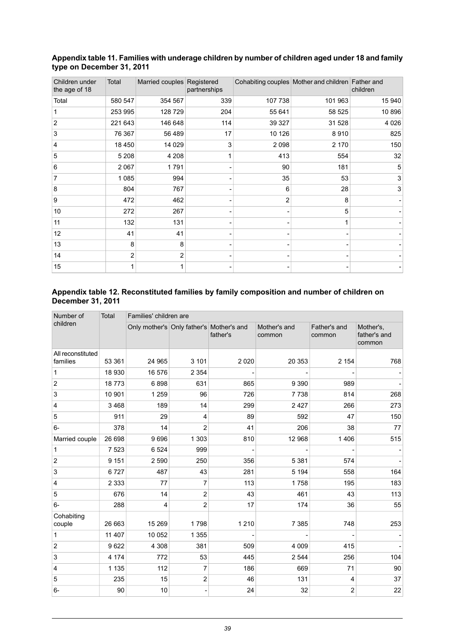| Children under<br>the age of 18 | Total   | Married couples Registered | partnerships |         | Cohabiting couples Mother and children Father and | children |
|---------------------------------|---------|----------------------------|--------------|---------|---------------------------------------------------|----------|
| Total                           | 580 547 | 354 567                    | 339          | 107 738 | 101 963                                           | 15 940   |
| 1                               | 253 995 | 128 729                    | 204          | 55 641  | 58 525                                            | 10896    |
| $\overline{2}$                  | 221 643 | 146 648                    | 114          | 39 327  | 31 528                                            | 4 0 2 6  |
| 3                               | 76 367  | 56 489                     | 17           | 10 126  | 8910                                              | 825      |
| $\overline{4}$                  | 18 450  | 14 0 29                    | 3            | 2 0 9 8 | 2 170                                             | 150      |
| 5                               | 5 2 0 8 | 4 2 0 8                    |              | 413     | 554                                               | 32       |
| 6                               | 2 0 6 7 | 1791                       |              | 90      | 181                                               | 5        |
| 7                               | 1 0 8 5 | 994                        |              | 35      | 53                                                | 3        |
| 8                               | 804     | 767                        |              | 6       | 28                                                | 3        |
| 9                               | 472     | 462                        |              | 2       | 8                                                 |          |
| 10                              | 272     | 267                        |              |         | 5                                                 |          |
| 11                              | 132     | 131                        |              |         |                                                   |          |
| 12                              | 41      | 41                         |              |         |                                                   |          |
| 13                              | 8       | 8                          |              |         |                                                   |          |
| 14                              | 2       | 2                          |              |         |                                                   |          |
| 15                              |         |                            |              |         |                                                   |          |

#### <span id="page-38-0"></span>**Appendixtable11. Families with underagechildren by number ofchildren aged under18and family type on December 31, 2011**

#### <span id="page-38-1"></span>**Appendix table 12. Reconstituted families by family composition and number of children on December 31, 2011**

| Number of                 | Total   | Families' children are                   |                  |          |                        |                        |                                     |  |  |  |  |
|---------------------------|---------|------------------------------------------|------------------|----------|------------------------|------------------------|-------------------------------------|--|--|--|--|
| children                  |         | Only mother's Only father's Mother's and |                  | father's | Mother's and<br>common | Father's and<br>common | Mother's,<br>father's and<br>common |  |  |  |  |
| All reconstituted         |         |                                          |                  |          |                        |                        |                                     |  |  |  |  |
| families                  | 53 361  | 24 965                                   | 3 1 0 1          | 2 0 2 0  | 20 353                 | 2 1 5 4                | 768                                 |  |  |  |  |
| $\mathbf{1}$              | 18 930  | 16 576                                   | 2 3 5 4          |          |                        |                        |                                     |  |  |  |  |
| $\boldsymbol{2}$          | 18773   | 6898                                     | 631              | 865      | 9 3 9 0                | 989                    |                                     |  |  |  |  |
| $\ensuremath{\mathsf{3}}$ | 10 901  | 1 2 5 9                                  | 96               | 726      | 7738                   | 814                    | 268                                 |  |  |  |  |
| $\overline{\mathbf{4}}$   | 3468    | 189                                      | 14               | 299      | 2427                   | 266                    | 273                                 |  |  |  |  |
| $\overline{5}$            | 911     | 29                                       | $\overline{4}$   | 89       | 592                    | 47                     | 150                                 |  |  |  |  |
| $6-$                      | 378     | 14                                       | $\overline{2}$   | 41       | 206                    | 38                     | 77                                  |  |  |  |  |
| Married couple            | 26 698  | 9696                                     | 1 3 0 3          | 810      | 12 968                 | 1 4 0 6                | 515                                 |  |  |  |  |
| $\mathbf{1}$              | 7 5 23  | 6524                                     | 999              |          |                        |                        |                                     |  |  |  |  |
| $\overline{2}$            | 9 1 5 1 | 2 5 9 0                                  | 250              | 356      | 5 3 8 1                | 574                    |                                     |  |  |  |  |
| $\mathbf{3}$              | 6727    | 487                                      | 43               | 281      | 5 1 9 4                | 558                    | 164                                 |  |  |  |  |
| $\overline{\mathbf{4}}$   | 2 3 3 3 | 77                                       | $\overline{7}$   | 113      | 1758                   | 195                    | 183                                 |  |  |  |  |
| $\overline{5}$            | 676     | 14                                       | $\overline{2}$   | 43       | 461                    | 43                     | 113                                 |  |  |  |  |
| $6-$                      | 288     | 4                                        | $\overline{2}$   | 17       | 174                    | 36                     | 55                                  |  |  |  |  |
| Cohabiting<br>couple      | 26 663  | 15 269                                   | 1798             | 1 2 1 0  | 7 3 8 5                | 748                    | 253                                 |  |  |  |  |
| $\mathbf{1}$              | 11 407  | 10 052                                   | 1 3 5 5          |          |                        |                        |                                     |  |  |  |  |
| $\sqrt{2}$                | 9622    | 4 3 0 8                                  | 381              | 509      | 4 0 0 9                | 415                    |                                     |  |  |  |  |
| $\mathbf{3}$              | 4 1 7 4 | 772                                      | 53               | 445      | 2 5 4 4                | 256                    | 104                                 |  |  |  |  |
| $\overline{4}$            | 1 1 3 5 | 112                                      | $\overline{7}$   | 186      | 669                    | 71                     | 90                                  |  |  |  |  |
| $\sqrt{5}$                | 235     | 15                                       | $\boldsymbol{2}$ | 46       | 131                    | 4                      | 37                                  |  |  |  |  |
| $6-$                      | 90      | 10                                       |                  | 24       | 32                     | 2                      | 22                                  |  |  |  |  |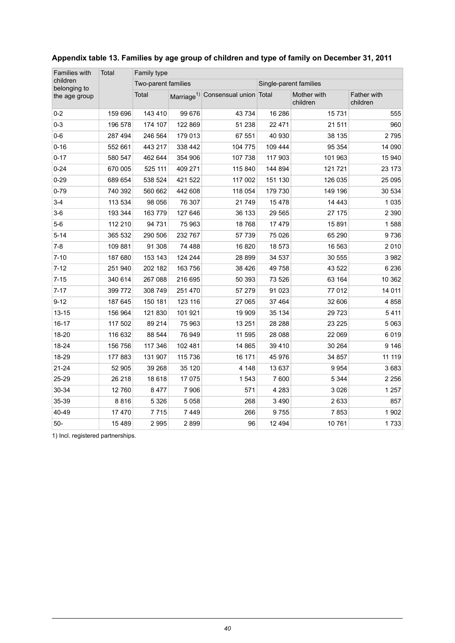| Families with            | Total   | Family type         |         |                                               |                        |                         |                         |  |  |  |
|--------------------------|---------|---------------------|---------|-----------------------------------------------|------------------------|-------------------------|-------------------------|--|--|--|
| children<br>belonging to |         | Two-parent families |         |                                               | Single-parent families |                         |                         |  |  |  |
| the age group            |         | Total               |         | Marriage <sup>1)</sup> Consensual union Total |                        | Mother with<br>children | Father with<br>children |  |  |  |
| $0 - 2$                  | 159 696 | 143 410             | 99 676  | 43 734                                        | 16 28 6                | 15731                   | 555                     |  |  |  |
| $0 - 3$                  | 196 578 | 174 107             | 122 869 | 51 238                                        | 22 4 7 1               | 21 511                  | 960                     |  |  |  |
| $0-6$                    | 287 494 | 246 564             | 179 013 | 67 551                                        | 40 930                 | 38 135                  | 2795                    |  |  |  |
| $0 - 16$                 | 552 661 | 443 217             | 338 442 | 104 775                                       | 109 444                | 95 354                  | 14 090                  |  |  |  |
| $0 - 17$                 | 580 547 | 462 644             | 354 906 | 107 738                                       | 117 903                | 101 963                 | 15 940                  |  |  |  |
| $0 - 24$                 | 670 005 | 525 111             | 409 271 | 115 840                                       | 144 894                | 121 721                 | 23 173                  |  |  |  |
| $0 - 29$                 | 689 654 | 538 524             | 421 522 | 117 002                                       | 151 130                | 126 035                 | 25 0 95                 |  |  |  |
| $0 - 79$                 | 740 392 | 560 662             | 442 608 | 118 054                                       | 179 730                | 149 196                 | 30 534                  |  |  |  |
| $3-4$                    | 113 534 | 98 056              | 76 307  | 21749                                         | 15478                  | 14 4 43                 | 1 0 3 5                 |  |  |  |
| $3-6$                    | 193 344 | 163 779             | 127 646 | 36 133                                        | 29 5 65                | 27 175                  | 2 3 9 0                 |  |  |  |
| $5-6$                    | 112 210 | 94 731              | 75 963  | 18768                                         | 17479                  | 15891                   | 1588                    |  |  |  |
| $5 - 14$                 | 365 532 | 290 506             | 232 767 | 57 739                                        | 75 0 26                | 65 290                  | 9736                    |  |  |  |
| $7 - 8$                  | 109 881 | 91 308              | 74 488  | 16820                                         | 18 573                 | 16 563                  | 2010                    |  |  |  |
| $7 - 10$                 | 187 680 | 153 143             | 124 244 | 28 899                                        | 34 537                 | 30 555                  | 3 9 8 2                 |  |  |  |
| $7 - 12$                 | 251 940 | 202 182             | 163 756 | 38 4 26                                       | 49 758                 | 43 522                  | 6 2 3 6                 |  |  |  |
| $7 - 15$                 | 340 614 | 267 088             | 216 695 | 50 393                                        | 73 526                 | 63 164                  | 10 362                  |  |  |  |
| $7 - 17$                 | 399 772 | 308 749             | 251 470 | 57 279                                        | 91 0 23                | 77 012                  | 14 011                  |  |  |  |
| $9 - 12$                 | 187 645 | 150 181             | 123 116 | 27 065                                        | 37 4 64                | 32 606                  | 4858                    |  |  |  |
| $13 - 15$                | 156 964 | 121 830             | 101 921 | 19 909                                        | 35 134                 | 29 7 23                 | 5411                    |  |  |  |
| 16-17                    | 117 502 | 89 214              | 75 963  | 13 251                                        | 28 28 8                | 23 2 25                 | 5 0 6 3                 |  |  |  |
| 18-20                    | 116 632 | 88 544              | 76 949  | 11 595                                        | 28 088                 | 22 069                  | 6019                    |  |  |  |
| 18-24                    | 156 756 | 117 346             | 102 481 | 14 865                                        | 39 4 10                | 30 264                  | 9 1 4 6                 |  |  |  |
| 18-29                    | 177883  | 131 907             | 115 736 | 16 171                                        | 45 976                 | 34 857                  | 11 119                  |  |  |  |
| $21 - 24$                | 52 905  | 39 268              | 35 120  | 4 1 4 8                                       | 13 637                 | 9954                    | 3683                    |  |  |  |
| 25-29                    | 26 218  | 18 618              | 17 075  | 1543                                          | 7 600                  | 5 3 4 4                 | 2 2 5 6                 |  |  |  |
| 30-34                    | 12760   | 8477                | 7 9 0 6 | 571                                           | 4 2 8 3                | 3 0 2 6                 | 1 2 5 7                 |  |  |  |
| 35-39                    | 8816    | 5 3 2 6             | 5 0 5 8 | 268                                           | 3 4 9 0                | 2633                    | 857                     |  |  |  |
| 40-49                    | 17 470  | 7715                | 7 4 4 9 | 266                                           | 9755                   | 7853                    | 1902                    |  |  |  |
| $50-$                    | 15 4 89 | 2 9 9 5             | 2899    | 96                                            | 12 4 9 4               | 10761                   | 1733                    |  |  |  |

#### <span id="page-39-0"></span>**Appendix table 13. Families by age group of children and type of family on December 31, 2011**

1) Incl. registered partnerships.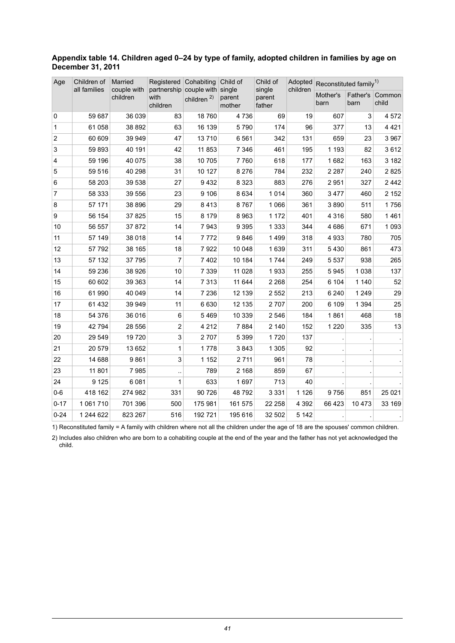#### <span id="page-40-0"></span>**Appendix table 14. Children aged 0–24 by type of family, adopted children in families by age on December 31, 2011**

| Age            | Children of  | Married                 | Registered                                         | Cohabiting             | Child of         | Child of                   |          | Adopted Reconstituted family <sup>1)</sup> |                  |                 |
|----------------|--------------|-------------------------|----------------------------------------------------|------------------------|------------------|----------------------------|----------|--------------------------------------------|------------------|-----------------|
|                | all families | couple with<br>children | partnership couple with single<br>with<br>children | children <sup>2)</sup> | parent<br>mother | single<br>parent<br>father | children | Mother's<br>barn                           | Father's<br>barn | Common<br>child |
| 0              | 59 687       | 36 039                  | 83                                                 | 18760                  | 4736             | 69                         | 19       | 607                                        | 3                | 4572            |
| $\mathbf{1}$   | 61 058       | 38 892                  | 63                                                 | 16 139                 | 5790             | 174                        | 96       | 377                                        | 13               | 4 4 2 1         |
| $\overline{c}$ | 60 609       | 39 949                  | 47                                                 | 13710                  | 6561             | 342                        | 131      | 659                                        | 23               | 3 9 6 7         |
| 3              | 59 893       | 40 191                  | 42                                                 | 11 853                 | 7 3 4 6          | 461                        | 195      | 1 1 9 3                                    | 82               | 3612            |
| $\overline{4}$ | 59 196       | 40 075                  | 38                                                 | 10 705                 | 7760             | 618                        | 177      | 1682                                       | 163              | 3 1 8 2         |
| 5              | 59 516       | 40 298                  | 31                                                 | 10 127                 | 8 2 7 6          | 784                        | 232      | 2 2 8 7                                    | 240              | 2825            |
| 6              | 58 203       | 39 538                  | 27                                                 | 9432                   | 8 3 2 3          | 883                        | 276      | 2951                                       | 327              | 2442            |
| $\overline{7}$ | 58 333       | 39 556                  | 23                                                 | 9 10 6                 | 8 6 3 4          | 1014                       | 360      | 3477                                       | 460              | 2 1 5 2         |
| 8              | 57 171       | 38 896                  | 29                                                 | 8413                   | 8767             | 1 0 6 6                    | 361      | 3890                                       | 511              | 1756            |
| 9              | 56 154       | 37 825                  | 15                                                 | 8 1 7 9                | 8963             | 1 172                      | 401      | 4 3 1 6                                    | 580              | 1461            |
| 10             | 56 557       | 37872                   | 14                                                 | 7943                   | 9 3 9 5          | 1 3 3 3                    | 344      | 4686                                       | 671              | 1 0 9 3         |
| 11             | 57 149       | 38 018                  | 14                                                 | 7772                   | 9846             | 1499                       | 318      | 4933                                       | 780              | 705             |
| 12             | 57 792       | 38 165                  | 18                                                 | 7922                   | 10 048           | 1639                       | 311      | 5430                                       | 861              | 473             |
| 13             | 57 132       | 37 795                  | $\overline{7}$                                     | 7 4 0 2                | 10 184           | 1 7 4 4                    | 249      | 5 5 3 7                                    | 938              | 265             |
| 14             | 59 236       | 38 9 26                 | 10                                                 | 7 3 3 9                | 11 0 28          | 1933                       | 255      | 5945                                       | 1 0 38           | 137             |
| 15             | 60 602       | 39 363                  | 14                                                 | 7 3 1 3                | 11 644           | 2 2 6 8                    | 254      | 6 104                                      | 1 1 4 0          | 52              |
| 16             | 61 990       | 40 049                  | 14                                                 | 7 2 3 6                | 12 139           | 2 5 5 2                    | 213      | 6 2 4 0                                    | 1 2 4 9          | 29              |
| 17             | 61 432       | 39 949                  | 11                                                 | 6630                   | 12 135           | 2707                       | 200      | 6 109                                      | 1 3 9 4          | 25              |
| 18             | 54 376       | 36 016                  | 6                                                  | 5469                   | 10 339           | 2 5 4 6                    | 184      | 1861                                       | 468              | 18              |
| 19             | 42 794       | 28 556                  | $\overline{2}$                                     | 4 2 1 2                | 7884             | 2 140                      | 152      | 1 2 2 0                                    | 335              | 13              |
| 20             | 29 549       | 19720                   | 3                                                  | 2707                   | 5 3 9 9          | 1720                       | 137      |                                            |                  |                 |
| 21             | 20 579       | 13 652                  | 1                                                  | 1778                   | 3843             | 1 3 0 5                    | 92       |                                            |                  |                 |
| 22             | 14 688       | 9861                    | $\mathsf 3$                                        | 1 1 5 2                | 2 7 1 1          | 961                        | 78       |                                            |                  |                 |
| 23             | 11 801       | 7985                    |                                                    | 789                    | 2 1 6 8          | 859                        | 67       |                                            |                  |                 |
| 24             | 9 1 2 5      | 6 0 8 1                 | 1                                                  | 633                    | 1697             | 713                        | 40       |                                            |                  |                 |
| $0 - 6$        | 418 162      | 274 982                 | 331                                                | 90 726                 | 48792            | 3 3 3 1                    | 1 1 2 6  | 9756                                       | 851              | 25 0 21         |
| $0 - 17$       | 1 061 710    | 701 396                 | 500                                                | 175 981                | 161 575          | 22 258                     | 4 3 9 2  | 66 423                                     | 10 473           | 33 169          |
| $0 - 24$       | 1 244 622    | 823 267                 | 516                                                | 192 721                | 195 616          | 32 502                     | 5 1 4 2  |                                            |                  |                 |

1) Reconstituted family = A family with children where not all the children under the age of 18 are the spouses' common children.

2) Includes also children who are born to a cohabiting couple at the end of the year and the father has not yet acknowledged the child.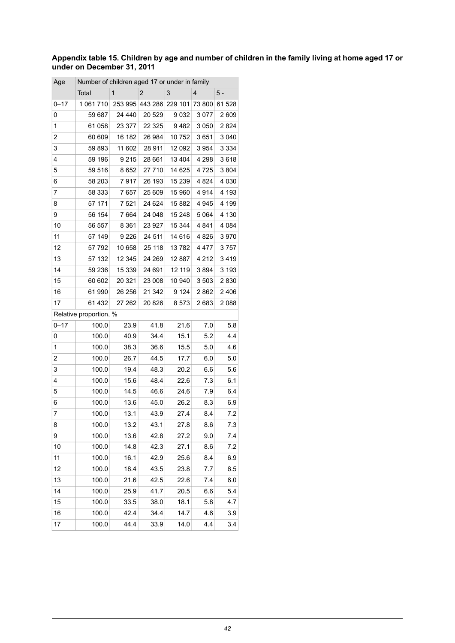#### <span id="page-41-0"></span>Appendix table 15. Children by age and number of children in the family living at home aged 17 or **under on December 31, 2011**

| Age      | Number of children aged 17 or under in family |              |                         |         |                |         |
|----------|-----------------------------------------------|--------------|-------------------------|---------|----------------|---------|
|          | Total                                         | $\mathbf{1}$ | $\overline{2}$          | 3       | $\overline{4}$ | 5 -     |
| $0 - 17$ | 1 061 710                                     |              | 253 995 443 286 229 101 |         | 73 800         | 61 528  |
| 0        | 59 687                                        | 24 440       | 20 5 29                 | 9032    | 3077           | 2 609   |
| 1        | 61 058                                        | 23 377       | 22 3 25                 | 9482    | 3 0 5 0        | 2824    |
| 2        | 60 609                                        | 16 182       | 26 984                  | 10752   | 3651           | 3 0 4 0 |
| 3        | 59 893                                        | 11 602       | 28 911                  | 12 092  | 3954           | 3 3 3 4 |
| 4        | 59 196                                        | 9 2 1 5      | 28 661                  | 13 4 04 | 4 2 9 8        | 3618    |
| 5        | 59 516                                        | 8652         | 27 710                  | 14 625  | 4725           | 3804    |
| 6        | 58 203                                        | 7917         | 26 193                  | 15 239  | 4 8 24         | 4 0 3 0 |
| 7        | 58 333                                        | 7657         | 25 609                  | 15 960  | 4914           | 4 193   |
| 8        | 57 171                                        | 7521         | 24 624                  | 15 882  | 4945           | 4 199   |
| 9        | 56 154                                        | 7 6 6 4      | 24 048                  | 15 248  | 5064           | 4 130   |
| 10       | 56 557                                        | 8 3 6 1      | 23 9 27                 | 15 344  | 4841           | 4 084   |
| 11       | 57 149                                        | 9 2 2 6      | 24 511                  | 14 616  | 4826           | 3970    |
| 12       | 57 792                                        | 10 658       | 25 118                  | 13782   | 4477           | 3757    |
| 13       | 57 132                                        | 12 345       | 24 269                  | 12 887  | 4 2 1 2        | 3419    |
| 14       | 59 236                                        | 15 339       | 24 691                  | 12 119  | 3894           | 3 1 9 3 |
| 15       | 60 602                                        | 20 321       | 23 008                  | 10 940  | 3503           | 2830    |
| 16       | 61 990                                        | 26 256       | 21 342                  | 9 1 2 4 | 2862           | 2 4 0 6 |
| 17       | 61 432                                        | 27 262       | 20 8 26                 | 8573    | 2683           | 2088    |
|          | Relative proportion, %                        |              |                         |         |                |         |
| $0 - 17$ | 100.0                                         | 23.9         | 41.8                    | 21.6    | 7.0            | 5.8     |
| 0        | 100.0                                         | 40.9         | 34.4                    | 15.1    | 5.2            | 4.4     |
| 1        | 100.0                                         | 38.3         | 36.6                    | 15.5    | 5.0            | 4.6     |
| 2        | 100.0                                         | 26.7         | 44.5                    | 17.7    | 6.0            | 5.0     |
| 3        | 100.0                                         | 19.4         | 48.3                    | 20.2    | 6.6            | 5.6     |
| 4        | 100.0                                         | 15.6         | 48.4                    | 22.6    | 7.3            | 6.1     |
| 5        | 100.0                                         | 14.5         | 46.6                    | 24.6    | 7.9            | 6.4     |
| 6        | 100.0                                         | 13.6         | 45.0                    | 26.2    | 8.3            | 6.9     |
| 7        | 100.0                                         | 13.1         | 43.9                    | 27.4    | 8.4            | 7.2     |
| 8        | 100.0                                         | 13.2         | 43.1                    | 27.8    | 8.6            | 7.3     |
| 9        | 100.0                                         | 13.6         | 42.8                    | 27.2    | 9.0            | 7.4     |
| 10       | 100.0                                         | 14.8         | 42.3                    | 27.1    | 8.6            | 7.2     |
| 11       | 100.0                                         | 16.1         | 42.9                    | 25.6    | 8.4            | 6.9     |
| 12       | 100.0                                         | 18.4         | 43.5                    | 23.8    | 7.7            | 6.5     |
| 13       | 100.0                                         | 21.6         | 42.5                    | 22.6    | 7.4            | 6.0     |
| 14       | 100.0                                         | 25.9         | 41.7                    | 20.5    | 6.6            | 5.4     |
| 15       | 100.0                                         | 33.5         | 38.0                    | 18.1    | 5.8            | 4.7     |
| 16       | 100.0                                         | 42.4         | 34.4                    | 14.7    | 4.6            | 3.9     |
| 17       | 100.0                                         | 44.4         | 33.9                    | 14.0    | 4.4            | 3.4     |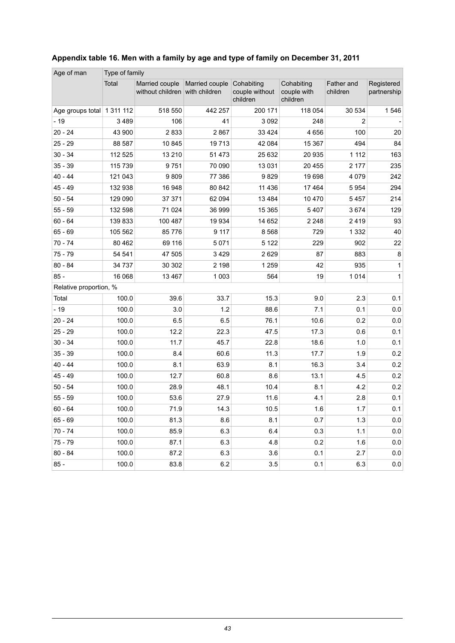| Age of man                 | Type of family |                                                  |                |                                          |                                       |                        |                           |
|----------------------------|----------------|--------------------------------------------------|----------------|------------------------------------------|---------------------------------------|------------------------|---------------------------|
|                            | Total          | Married couple<br>without children with children | Married couple | Cohabiting<br>couple without<br>children | Cohabiting<br>couple with<br>children | Father and<br>children | Registered<br>partnership |
| Age groups total 1 311 112 |                | 518 550                                          | 442 257        | 200 171                                  | 118 054                               | 30 534                 | 1546                      |
| $-19$                      | 3489           | 106                                              | 41             | 3 0 9 2                                  | 248                                   | $\overline{2}$         |                           |
| $20 - 24$                  | 43 900         | 2833                                             | 2867           | 33 4 24                                  | 4 6 5 6                               | 100                    | 20                        |
| $25 - 29$                  | 88 587         | 10 845                                           | 19713          | 42 084                                   | 15 367                                | 494                    | 84                        |
| $30 - 34$                  | 112 525        | 13 210                                           | 51 473         | 25 632                                   | 20 935                                | 1 1 1 2                | 163                       |
| $35 - 39$                  | 115 739        | 9751                                             | 70 090         | 13 0 31                                  | 20 455                                | 2 177                  | 235                       |
| $40 - 44$                  | 121 043        | 9809                                             | 77 386         | 9829                                     | 19 698                                | 4 0 7 9                | 242                       |
| $45 - 49$                  | 132 938        | 16 948                                           | 80 842         | 11 4 36                                  | 17 4 64                               | 5954                   | 294                       |
| $50 - 54$                  | 129 090        | 37 371                                           | 62 094         | 13 4 8 4                                 | 10 470                                | 5457                   | 214                       |
| $55 - 59$                  | 132 598        | 71 0 24                                          | 36 999         | 15 3 65                                  | 5407                                  | 3674                   | 129                       |
| $60 - 64$                  | 139833         | 100 487                                          | 19 9 34        | 14 652                                   | 2 2 4 8                               | 2419                   | 93                        |
| $65 - 69$                  | 105 562        | 85 776                                           | 9 1 1 7        | 8568                                     | 729                                   | 1 3 3 2                | 40                        |
| $70 - 74$                  | 80 4 62        | 69 116                                           | 5 0 7 1        | 5 1 2 2                                  | 229                                   | 902                    | 22                        |
| $75 - 79$                  | 54 541         | 47 505                                           | 3 4 2 9        | 2629                                     | 87                                    | 883                    | 8                         |
| $80 - 84$                  | 34 7 37        | 30 30 2                                          | 2 1 9 8        | 1 2 5 9                                  | 42                                    | 935                    | 1                         |
| $85 -$                     | 16 068         | 13 4 67                                          | 1 0 0 3        | 564                                      | 19                                    | 1014                   | 1                         |
| Relative proportion, %     |                |                                                  |                |                                          |                                       |                        |                           |
| Total                      | 100.0          | 39.6                                             | 33.7           | 15.3                                     | 9.0                                   | 2.3                    | 0.1                       |
| $-19$                      | 100.0          | 3.0                                              | 1.2            | 88.6                                     | 7.1                                   | 0.1                    | 0.0                       |
| $20 - 24$                  | 100.0          | 6.5                                              | 6.5            | 76.1                                     | 10.6                                  | 0.2                    | 0.0                       |
| $25 - 29$                  | 100.0          | 12.2                                             | 22.3           | 47.5                                     | 17.3                                  | 0.6                    | 0.1                       |
| $30 - 34$                  | 100.0          | 11.7                                             | 45.7           | 22.8                                     | 18.6                                  | 1.0                    | 0.1                       |
| $35 - 39$                  | 100.0          | 8.4                                              | 60.6           | 11.3                                     | 17.7                                  | 1.9                    | 0.2                       |
| $40 - 44$                  | 100.0          | 8.1                                              | 63.9           | 8.1                                      | 16.3                                  | 3.4                    | 0.2                       |
| $45 - 49$                  | 100.0          | 12.7                                             | 60.8           | 8.6                                      | 13.1                                  | 4.5                    | 0.2                       |
| $50 - 54$                  | 100.0          | 28.9                                             | 48.1           | 10.4                                     | 8.1                                   | 4.2                    | 0.2                       |
| $55 - 59$                  | 100.0          | 53.6                                             | 27.9           | 11.6                                     | 4.1                                   | 2.8                    | 0.1                       |
| $60 - 64$                  | 100.0          | 71.9                                             | 14.3           | 10.5                                     | 1.6                                   | 1.7                    | 0.1                       |
| $65 - 69$                  | 100.0          | 81.3                                             | 8.6            | 8.1                                      | 0.7                                   | 1.3                    | 0.0                       |
| $70 - 74$                  | 100.0          | 85.9                                             | 6.3            | 6.4                                      | 0.3                                   | 1.1                    | 0.0                       |
| 75 - 79                    | 100.0          | 87.1                                             | 6.3            | 4.8                                      | 0.2                                   | 1.6                    | 0.0                       |
| $80 - 84$                  | 100.0          | 87.2                                             | 6.3            | 3.6                                      | 0.1                                   | 2.7                    | 0.0                       |
| $85 -$                     | 100.0          | 83.8                                             | 6.2            | 3.5                                      | 0.1                                   | 6.3                    | 0.0                       |

### <span id="page-42-0"></span>**Appendix table 16. Men with a family by age and type of family on December 31, 2011**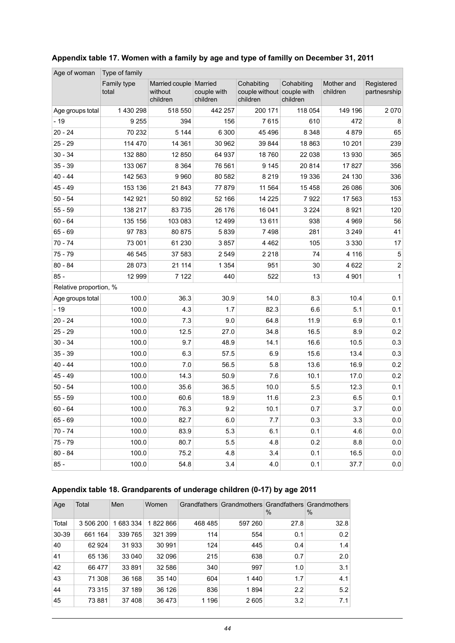| Age of woman           | Type of family       |                                                 |                         |                                                      |                        |                        |                            |
|------------------------|----------------------|-------------------------------------------------|-------------------------|------------------------------------------------------|------------------------|------------------------|----------------------------|
|                        | Family type<br>total | Married couple   Married<br>without<br>children | couple with<br>children | Cohabiting<br>couple without couple with<br>children | Cohabiting<br>children | Mother and<br>children | Registered<br>partnesrship |
| Age groups total       | 1 430 298            | 518 550                                         | 442 257                 | 200 171                                              | 118 054                | 149 196                | 2070                       |
| $-19$                  | 9 2 5 5              | 394                                             | 156                     | 7615                                                 | 610                    | 472                    | 8                          |
| $20 - 24$              | 70 232               | 5 1 4 4                                         | 6 300                   | 45 4 96                                              | 8 3 4 8                | 4879                   | 65                         |
| $25 - 29$              | 114 470              | 14 361                                          | 30 962                  | 39 844                                               | 18 863                 | 10 201                 | 239                        |
| $30 - 34$              | 132 880              | 12 850                                          | 64 937                  | 18760                                                | 22 038                 | 13 930                 | 365                        |
| $35 - 39$              | 133 067              | 8 3 6 4                                         | 76 561                  | 9 1 4 5                                              | 20 814                 | 17827                  | 356                        |
| $40 - 44$              | 142 563              | 9 9 6 0                                         | 80 582                  | 8 2 1 9                                              | 19 336                 | 24 130                 | 336                        |
| $45 - 49$              | 153 136              | 21843                                           | 77879                   | 11 564                                               | 15 4 58                | 26 086                 | 306                        |
| $50 - 54$              | 142 921              | 50 892                                          | 52 166                  | 14 2 25                                              | 7922                   | 17 563                 | 153                        |
| $55 - 59$              | 138 217              | 83 735                                          | 26 176                  | 16 041                                               | 3 2 2 4                | 8921                   | 120                        |
| $60 - 64$              | 135 156              | 103 083                                         | 12 499                  | 13 611                                               | 938                    | 4 9 6 9                | 56                         |
| $65 - 69$              | 97 783               | 80 875                                          | 5839                    | 7498                                                 | 281                    | 3 2 4 9                | 41                         |
| $70 - 74$              | 73 001               | 61 230                                          | 3857                    | 4 4 6 2                                              | 105                    | 3 3 3 0                | 17                         |
| $75 - 79$              | 46 545               | 37 583                                          | 2 5 4 9                 | 2 2 1 8                                              | 74                     | 4 1 1 6                | $\overline{5}$             |
| $80 - 84$              | 28 073               | 21 114                                          | 1 3 5 4                 | 951                                                  | 30                     | 4 6 22                 | $\boldsymbol{2}$           |
| $85 -$                 | 12 999               | 7 1 2 2                                         | 440                     | 522                                                  | 13                     | 4 9 0 1                | 1                          |
| Relative proportion, % |                      |                                                 |                         |                                                      |                        |                        |                            |
| Age groups total       | 100.0                | 36.3                                            | 30.9                    | 14.0                                                 | 8.3                    | 10.4                   | 0.1                        |
| $-19$                  | 100.0                | 4.3                                             | 1.7                     | 82.3                                                 | 6.6                    | 5.1                    | 0.1                        |
| $20 - 24$              | 100.0                | 7.3                                             | 9.0                     | 64.8                                                 | 11.9                   | 6.9                    | 0.1                        |
| $25 - 29$              | 100.0                | 12.5                                            | 27.0                    | 34.8                                                 | 16.5                   | 8.9                    | 0.2                        |
| $30 - 34$              | 100.0                | 9.7                                             | 48.9                    | 14.1                                                 | 16.6                   | 10.5                   | 0.3                        |
| $35 - 39$              | 100.0                | 6.3                                             | 57.5                    | 6.9                                                  | 15.6                   | 13.4                   | 0.3                        |
| $40 - 44$              | 100.0                | 7.0                                             | 56.5                    | 5.8                                                  | 13.6                   | 16.9                   | 0.2                        |
| $45 - 49$              | 100.0                | 14.3                                            | 50.9                    | 7.6                                                  | 10.1                   | 17.0                   | 0.2                        |
| $50 - 54$              | 100.0                | 35.6                                            | 36.5                    | 10.0                                                 | 5.5                    | 12.3                   | 0.1                        |
| $55 - 59$              | 100.0                | 60.6                                            | 18.9                    | 11.6                                                 | 2.3                    | 6.5                    | 0.1                        |
| $60 - 64$              | 100.0                | 76.3                                            | 9.2                     | 10.1                                                 | 0.7                    | 3.7                    | $0.0\,$                    |
| $65 - 69$              | 100.0                | 82.7                                            | 6.0                     | 7.7                                                  | 0.3                    | 3.3                    | 0.0                        |
| $70 - 74$              | 100.0                | 83.9                                            | 5.3                     | 6.1                                                  | 0.1                    | 4.6                    | 0.0                        |
| $75 - 79$              | 100.0                | 80.7                                            | 5.5                     | 4.8                                                  | 0.2                    | 8.8                    | $0.0\,$                    |
| 80 - 84                | 100.0                | 75.2                                            | 4.8                     | 3.4                                                  | 0.1                    | 16.5                   | 0.0                        |
| $85 -$                 | 100.0                | 54.8                                            | 3.4                     | 4.0                                                  | 0.1                    | 37.7                   | 0.0                        |

#### <span id="page-43-0"></span>**Appendix table 17. Women with a family by age and type of familly on December 31, 2011**

#### <span id="page-43-1"></span>**Appendix table 18. Grandparents of underage children (0-17) by age 2011**

| Age   | Total     | Men     | Women   |         | Grandfathers Grandmothers Grandfathers Grandmothers | $\%$ | $\%$ |
|-------|-----------|---------|---------|---------|-----------------------------------------------------|------|------|
| Total | 3 506 200 | 683 334 | 822 866 | 468 485 | 597 260                                             | 27.8 | 32.8 |
| 30-39 | 661 164   | 339 765 | 321 399 | 114     | 554                                                 | 0.1  | 0.2  |
| 40    | 62 924    | 31933   | 30 991  | 124     | 445                                                 | 0.4  | 1.4  |
| 41    | 65 136    | 33 040  | 32 096  | 215     | 638                                                 | 0.7  | 2.0  |
| 42    | 66 477    | 33 891  | 32 586  | 340     | 997                                                 | 1.0  | 3.1  |
| 43    | 71 308    | 36 168  | 35 140  | 604     | 1440                                                | 1.7  | 4.1  |
| 44    | 73 315    | 37 189  | 36 126  | 836     | 1894                                                | 2.2  | 5.2  |
| 45    | 73 881    | 37 408  | 36 473  | 1 1 9 6 | 2605                                                | 3.2  | 7.1  |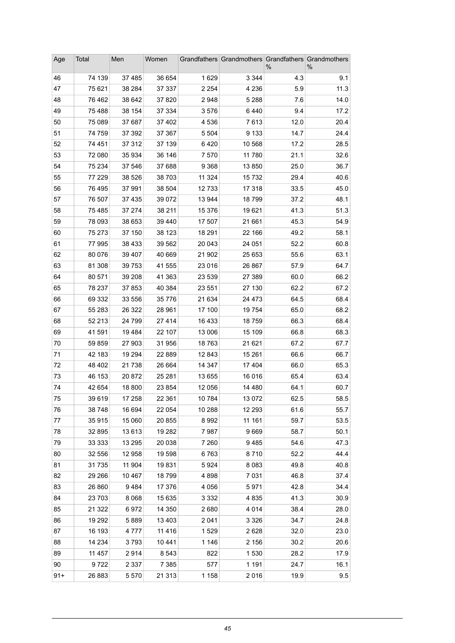| Age      | Total            | Men              | Women            |                  | Grandfathers Grandmothers Grandfathers Grandmothers | ℅            | ℅            |
|----------|------------------|------------------|------------------|------------------|-----------------------------------------------------|--------------|--------------|
| 46       | 74 139           | 37 485           | 36 654           | 1629             | 3 3 4 4                                             | 4.3          | 9.1          |
| 47       | 75 621           | 38 284           | 37 337           | 2 2 5 4          | 4 2 3 6                                             | 5.9          | 11.3         |
| 48       | 76 462           | 38 642           | 37 820           | 2948             | 5 2 8 8                                             | 7.6          | 14.0         |
| 49       | 75 488           | 38 154           | 37 334           | 3576             | 6440                                                | 9.4          | 17.2         |
| 50       | 75 089           | 37 687           | 37 402           | 4 5 3 6          | 7613                                                | 12.0         | 20.4         |
| 51       | 74 759           | 37 392           | 37 367           | 5 5 0 4          | 9 1 3 3                                             | 14.7         | 24.4         |
| 52       | 74 451           | 37 312           | 37 139           | 6420             | 10 568                                              | 17.2         | 28.5         |
| 53       | 72 080           | 35 934           | 36 146           | 7570             | 11 780                                              | 21.1         | 32.6         |
| 54       | 75 234           | 37 546           | 37 688           | 9 3 6 8          | 13850                                               | 25.0         | 36.7         |
| 55       | 77 229           | 38 5 26          | 38 703           | 11 324           | 15732                                               | 29.4         | 40.6         |
| 56       | 76 495           | 37 991           | 38 504           | 12733            | 17 318                                              | 33.5         | 45.0         |
| 57       | 76 507           | 37 4 35          | 39 072           | 13 944           | 18799                                               | 37.2         | 48.1         |
| 58       | 75 485           | 37 274           | 38 211           | 15 376           | 19621                                               | 41.3         | 51.3         |
| 59       | 78 093           | 38 653           | 39 440           | 17 507           | 21 661                                              | 45.3         | 54.9         |
| 60       | 75 273           | 37 150           | 38 123           | 18 291           | 22 166                                              | 49.2         | 58.1         |
| 61       | 77 995           | 38 4 33          | 39 562           | 20 043           | 24 051                                              | 52.2         | 60.8         |
| 62       | 80 076           | 39 407           | 40 669           | 21 902           | 25 653                                              | 55.6         | 63.1         |
| 63<br>64 | 81 308<br>80 571 | 39 753<br>39 208 | 41 555<br>41 363 | 23 016<br>23 539 | 26 867<br>27 389                                    | 57.9<br>60.0 | 64.7<br>66.2 |
| 65       | 78 237           | 37 853           | 40 384           | 23 551           | 27 130                                              | 62.2         | 67.2         |
| 66       | 69 332           | 33 556           | 35 7 7 6         | 21 634           | 24 4 7 3                                            | 64.5         | 68.4         |
| 67       | 55 283           | 26 322           | 28 961           | 17 100           | 19754                                               | 65.0         | 68.2         |
| 68       | 52 213           | 24 799           | 27 4 14          | 16 433           | 18759                                               | 66.3         | 68.4         |
| 69       | 41 591           | 19 4 84          | 22 107           | 13 006           | 15 109                                              | 66.8         | 68.3         |
| 70       | 59 859           | 27 903           | 31 956           | 18763            | 21 621                                              | 67.2         | 67.7         |
| 71       | 42 183           | 19 294           | 22 889           | 12 843           | 15 261                                              | 66.6         | 66.7         |
| 72       | 48 402           | 21 738           | 26 664           | 14 347           | 17404                                               | 66.0         | 65.3         |
| 73       | 46 153           | 20 872           | 25 281           | 13 655           | 16 016                                              | 65.4         | 63.4         |
| 74       | 42 654           | 18 800           | 23 854           | 12 056           | 14 480                                              | 64.1         | 60.7         |
| 75       | 39 619           | 17 258           | 22 361           | 10 784           | 13 072                                              | 62.5         | 58.5         |
| 76       | 38748            | 16 694           | 22 054           | 10 288           | 12 293                                              | 61.6         | 55.7         |
| 77       | 35 915           | 15 060           | 20 855           | 8992             | 11 161                                              | 59.7         | 53.5         |
| 78       | 32 895           | 13613            | 19 282           | 7987             | 9669                                                | 58.7         | 50.1         |
| 79       | 33 333           | 13 295           | 20 038           | 7 2 6 0          | 9485                                                | 54.6         | 47.3         |
| 80       | 32 556           | 12 958           | 19 598           | 6763             | 8710                                                | 52.2         | 44.4         |
| 81       | 31735            | 11 904           | 19831            | 5924             | 8 0 8 3                                             | 49.8         | 40.8         |
| 82       | 29 26 6          | 10 467           | 18799            | 4898             | 7 0 3 1                                             | 46.8         | 37.4         |
| 83       | 26 860           | 9484             | 17 376           | 4 0 5 6          | 5971                                                | 42.8         | 34.4         |
| 84       | 23 703           | 8 0 6 8          | 15 635           | 3 3 3 2          | 4835                                                | 41.3         | 30.9         |
| 85       | 21 3 22          | 6972             | 14 350           | 2680             | 4 0 1 4                                             | 38.4         | 28.0         |
| 86       | 19 29 2          | 5889             | 13 4 03          | 2 0 4 1          | 3 3 2 6                                             | 34.7         | 24.8         |
| 87       | 16 193           | 4 7 7 7          | 11 4 16          | 1529             | 2628                                                | 32.0         | 23.0         |
| 88       | 14 234           | 3793             | 10 441           | 1 1 4 6          | 2 1 5 6                                             | 30.2         | 20.6         |
| 89       | 11 457           | 2914             | 8 5 4 3          | 822              | 1530                                                | 28.2         | 17.9         |
| 90       | 9722             | 2 3 3 7          | 7 3 8 5          | 577              | 1 1 9 1                                             | 24.7         | 16.1         |
| $91 +$   | 26 883           | 5 5 7 0          | 21 313           | 1 1 5 8          | 2016                                                | 19.9         | 9.5          |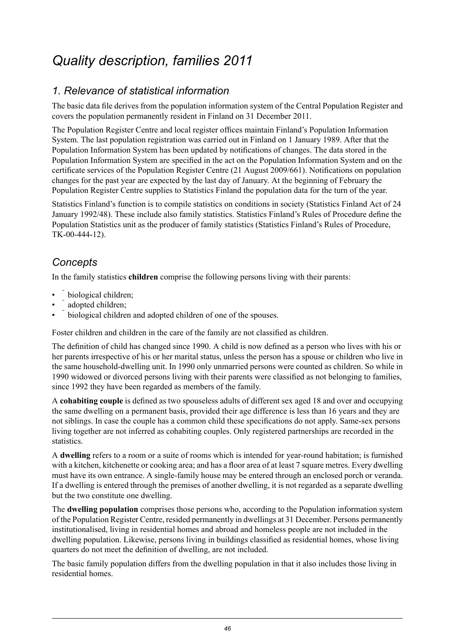## <span id="page-45-0"></span>*Quality description, families 2011*

## *1. Relevance of statistical information*

The basic data file derives from the population information system of the Central Population Register and covers the population permanently resident in Finland on 31 December 2011.

The Population Register Centre and local register offices maintain Finland's Population Information System. The last population registration was carried out in Finland on 1 January 1989. After that the Population Information System has been updated by notifications of changes. The data stored in the Population Information System are specified in the act on the Population Information System and on the certificate services of the Population Register Centre (21 August 2009/661). Notifications on population changes for the past year are expected by the last day of January. At the beginning of February the Population Register Centre supplies to Statistics Finland the population data for the turn of the year.

Statistics Finland's function is to compile statistics on conditions in society (Statistics Finland Act of 24 January 1992/48). These include also family statistics. Statistics Finland's Rules of Procedure define the Population Statistics unit as the producer of family statistics (Statistics Finland's Rules of Procedure, TK-00-444-12).

### *Concepts*

In the family statistics **children** comprise the following persons living with their parents:

- biological children;
- adopted children;
- biological children and adopted children of one of the spouses.

Foster children and children in the care of the family are not classified as children.

The definition of child has changed since 1990. A child is now defined as a person who lives with his or her parents irrespective of his or her marital status, unless the person has a spouse or children who live in the same household-dwelling unit. In 1990 only unmarried persons were counted as children. So while in 1990 widowed or divorced persons living with their parents were classified as not belonging to families, since 1992 they have been regarded as members of the family.

A **cohabiting couple** is defined as two spouseless adults of different sex aged 18 and over and occupying the same dwelling on a permanent basis, provided their age difference is less than 16 years and they are not siblings. In case the couple has a common child these specifications do not apply. Same-sex persons living together are not inferred as cohabiting couples. Only registered partnerships are recorded in the statistics.

A **dwelling** refers to a room or a suite of rooms which is intended for year-round habitation; is furnished with a kitchen, kitchenette or cooking area; and has a floor area of at least 7 square metres. Every dwelling must have its own entrance. A single-family house may be entered through an enclosed porch or veranda. If a dwelling is entered through the premises of another dwelling, it is not regarded as a separate dwelling but the two constitute one dwelling.

The **dwelling population** comprises those persons who, according to the Population information system of the Population Register Centre, resided permanently in dwellings at 31 December. Persons permanently institutionalised, living in residential homes and abroad and homeless people are not included in the dwelling population. Likewise, persons living in buildings classified as residential homes, whose living quarters do not meet the definition of dwelling, are not included.

The basic family population differs from the dwelling population in that it also includes those living in residential homes.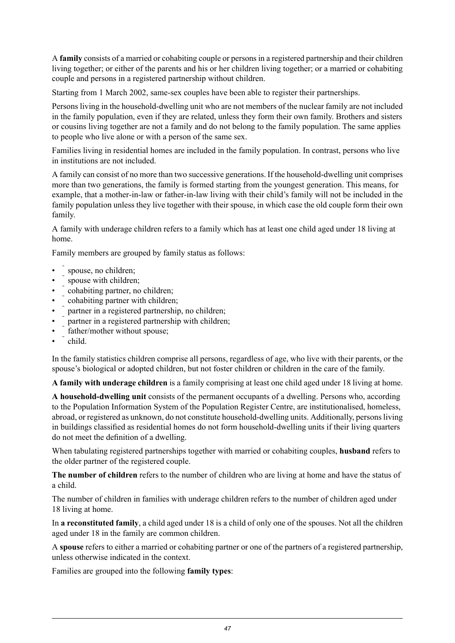A **family** consists of a married or cohabiting couple or personsin a registered partnership and their children living together; or either of the parents and his or her children living together; or a married or cohabiting couple and persons in a registered partnership without children.

Starting from 1 March 2002, same-sex couples have been able to register their partnerships.

Persons living in the household-dwelling unit who are not members of the nuclear family are not included in the family population, even if they are related, unless they form their own family. Brothers and sisters or cousins living together are not a family and do not belong to the family population. The same applies to people who live alone or with a person of the same sex.

Families living in residential homes are included in the family population. In contrast, persons who live in institutions are not included.

A family can consist of no more than two successive generations. If the household-dwelling unit comprises more than two generations, the family is formed starting from the youngest generation. This means, for example, that a mother-in-law or father-in-law living with their child's family will not be included in the family population unless they live together with their spouse, in which case the old couple form their own family.

A family with underage children refers to a family which has at least one child aged under 18 living at home.

Family members are grouped by family status as follows:

- spouse, no children;
- spouse with children:
- cohabiting partner, no children;
- cohabiting partner with children;
- partner in a registered partnership, no children;
- partner in a registered partnership with children;
- father/mother without spouse;
- child.

In the family statistics children comprise all persons, regardless of age, who live with their parents, or the spouse's biological or adopted children, but not foster children or children in the care of the family.

**A family with underage children** is a family comprising at least one child aged under 18 living at home.

**A household-dwelling unit** consists of the permanent occupants of a dwelling. Persons who, according to the Population Information System of the Population Register Centre, are institutionalised, homeless, abroad, or registered as unknown, do not constitute household-dwelling units. Additionally, persons living in buildings classified as residential homes do not form household-dwelling units if their living quarters do not meet the definition of a dwelling.

When tabulating registered partnerships together with married or cohabiting couples, **husband** refers to the older partner of the registered couple.

**The number of children** refers to the number of children who are living at home and have the status of a child.

The number of children in families with underage children refers to the number of children aged under 18 living at home.

In **a reconstituted family**, a child aged under 18 is a child of only one of the spouses. Not all the children aged under 18 in the family are common children.

A **spouse** refers to either a married or cohabiting partner or one of the partners of a registered partnership, unless otherwise indicated in the context.

Families are grouped into the following **family types**: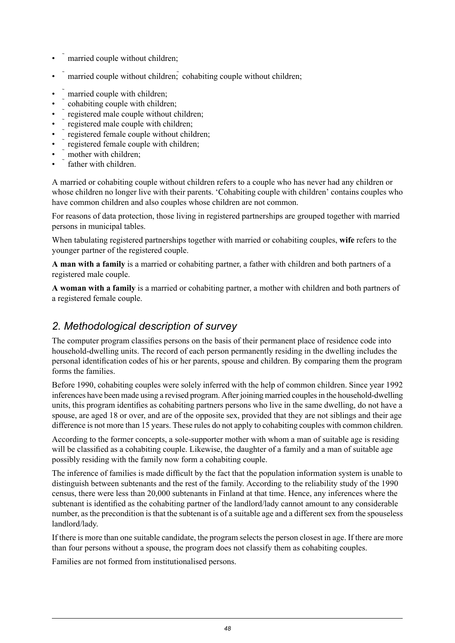- married couple without children;
- married couple without children; cohabiting couple without children;
- married couple with children;
- cohabiting couple with children;
- registered male couple without children;
- registered male couple with children;
- registered female couple without children;
- registered female couple with children;
- mother with children:
- father with children

A married or cohabiting couple without children refers to a couple who has never had any children or whose children no longer live with their parents. 'Cohabiting couple with children' contains couples who have common children and also couples whose children are not common.

For reasons of data protection, those living in registered partnerships are grouped together with married persons in municipal tables.

When tabulating registered partnerships together with married or cohabiting couples, **wife** refers to the younger partner of the registered couple.

**A man with a family** is a married or cohabiting partner, a father with children and both partners of a registered male couple.

**A woman with a family** is a married or cohabiting partner, a mother with children and both partners of a registered female couple.

### *2. Methodological description of survey*

The computer program classifies persons on the basis of their permanent place of residence code into household-dwelling units. The record of each person permanently residing in the dwelling includes the personal identification codes of his or her parents, spouse and children. By comparing them the program forms the families.

Before 1990, cohabiting couples were solely inferred with the help of common children. Since year 1992 inferences have been made using a revised program. After joining married couplesin the household-dwelling units, this program identifies as cohabiting partners persons who live in the same dwelling, do not have a spouse, are aged 18 or over, and are of the opposite sex, provided that they are not siblings and their age difference is not more than 15 years. These rules do not apply to cohabiting couples with common children.

According to the former concepts, a sole-supporter mother with whom a man of suitable age is residing will be classified as a cohabiting couple. Likewise, the daughter of a family and a man of suitable age possibly residing with the family now form a cohabiting couple.

The inference of families is made difficult by the fact that the population information system is unable to distinguish between subtenants and the rest of the family. According to the reliability study of the 1990 census, there were less than 20,000 subtenants in Finland at that time. Hence, any inferences where the subtenant is identified as the cohabiting partner of the landlord/lady cannot amount to any considerable number, as the precondition is that the subtenant is of a suitable age and a different sex from the spouseless landlord/lady.

If there is more than one suitable candidate, the program selects the person closest in age. If there are more than four persons without a spouse, the program does not classify them as cohabiting couples.

Families are not formed from institutionalised persons.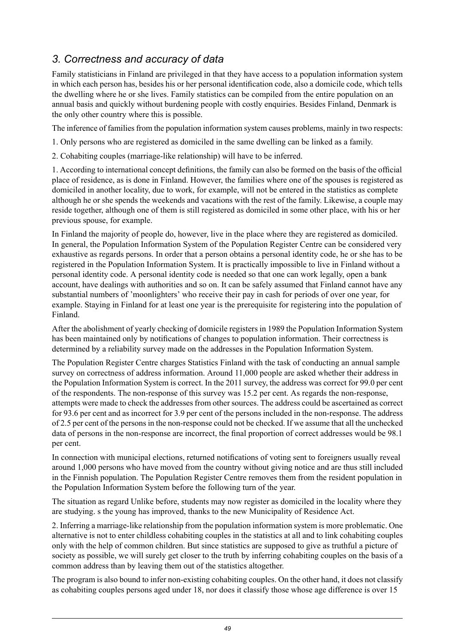### *3. Correctness and accuracy of data*

Family statisticians in Finland are privileged in that they have access to a population information system in which each person has, besides his or her personal identification code, also a domicile code, which tells the dwelling where he or she lives. Family statistics can be compiled from the entire population on an annual basis and quickly without burdening people with costly enquiries. Besides Finland, Denmark is the only other country where this is possible.

The inference of families from the population information system causes problems, mainly in two respects:

1. Only persons who are registered as domiciled in the same dwelling can be linked as a family.

2. Cohabiting couples (marriage-like relationship) will have to be inferred.

1. According to international concept definitions, the family can also be formed on the basis of the official place of residence, as is done in Finland. However, the families where one of the spouses is registered as domiciled in another locality, due to work, for example, will not be entered in the statistics as complete although he or she spends the weekends and vacations with the rest of the family. Likewise, a couple may reside together, although one of them is still registered as domiciled in some other place, with his or her previous spouse, for example.

In Finland the majority of people do, however, live in the place where they are registered as domiciled. In general, the Population Information System of the Population Register Centre can be considered very exhaustive as regards persons. In order that a person obtains a personal identity code, he or she has to be registered in the Population Information System. It is practically impossible to live in Finland without a personal identity code. A personal identity code is needed so that one can work legally, open a bank account, have dealings with authorities and so on. It can be safely assumed that Finland cannot have any substantial numbers of 'moonlighters' who receive their pay in cash for periods of over one year, for example. Staying in Finland for at least one year is the prerequisite for registering into the population of Finland.

After the abolishment of yearly checking of domicile registers in 1989 the Population Information System has been maintained only by notifications of changes to population information. Their correctness is determined by a reliability survey made on the addresses in the Population Information System.

The Population Register Centre charges Statistics Finland with the task of conducting an annual sample survey on correctness of address information. Around 11,000 people are asked whether their address in the Population Information System is correct. In the 2011 survey, the address was correct for 99.0 per cent of the respondents. The non-response of this survey was 15.2 per cent. As regards the non-response, attempts were made to check the addresses from other sources. The address could be ascertained as correct for 93.6 per cent and as incorrect for 3.9 per cent of the persons included in the non-response. The address of 2.5 per cent of the personsin the non-response could not be checked. If we assume that all the unchecked data of persons in the non-response are incorrect, the final proportion of correct addresses would be 98.1 per cent.

In connection with municipal elections, returned notifications of voting sent to foreigners usually reveal around 1,000 persons who have moved from the country without giving notice and are thus still included in the Finnish population. The Population Register Centre removes them from the resident population in the Population Information System before the following turn of the year.

The situation as regard Unlike before, students may now register as domiciled in the locality where they are studying. s the young has improved, thanks to the new Municipality of Residence Act.

2. Inferring a marriage-like relationship from the population information system is more problematic. One alternative is not to enter childless cohabiting couples in the statistics at all and to link cohabiting couples only with the help of common children. But since statistics are supposed to give as truthful a picture of society as possible, we will surely get closer to the truth by inferring cohabiting couples on the basis of a common address than by leaving them out of the statistics altogether.

The program is also bound to infer non-existing cohabiting couples. On the other hand, it does not classify as cohabiting couples persons aged under 18, nor does it classify those whose age difference is over 15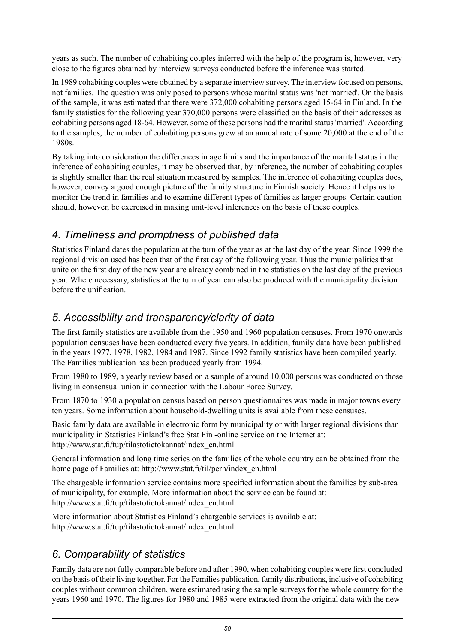years as such. The number of cohabiting couples inferred with the help of the program is, however, very close to the figures obtained by interview surveys conducted before the inference was started.

In 1989 cohabiting couples were obtained by a separate interview survey. The interview focused on persons, not families. The question was only posed to persons whose marital status was 'not married'. On the basis of the sample, it was estimated that there were 372,000 cohabiting persons aged 15-64 in Finland. In the family statistics for the following year 370,000 persons were classified on the basis of their addresses as cohabiting persons aged 18-64. However, some of these persons had the marital status 'married'. According to the samples, the number of cohabiting persons grew at an annual rate of some 20,000 at the end of the 1980s.

By taking into consideration the differences in age limits and the importance of the marital status in the inference of cohabiting couples, it may be observed that, by inference, the number of cohabiting couples is slightly smaller than the real situation measured by samples. The inference of cohabiting couples does, however, convey a good enough picture of the family structure in Finnish society. Hence it helps us to monitor the trend in families and to examine different types of families as larger groups. Certain caution should, however, be exercised in making unit-level inferences on the basis of these couples.

### *4. Timeliness and promptness of published data*

Statistics Finland dates the population at the turn of the year as at the last day of the year. Since 1999 the regional division used has been that of the first day of the following year. Thus the municipalities that unite on the first day of the new year are already combined in the statistics on the last day of the previous year. Where necessary, statistics at the turn of year can also be produced with the municipality division before the unification.

## *5. Accessibility and transparency/clarity of data*

The first family statistics are available from the 1950 and 1960 population censuses. From 1970 onwards population censuses have been conducted every five years. In addition, family data have been published in the years 1977, 1978, 1982, 1984 and 1987. Since 1992 family statistics have been compiled yearly. The Families publication has been produced yearly from 1994.

From 1980 to 1989, a yearly review based on a sample of around 10,000 persons was conducted on those living in consensual union in connection with the Labour Force Survey.

From 1870 to 1930 a population census based on person questionnaires was made in major towns every ten years. Some information about household-dwelling units is available from these censuses.

Basic family data are available in electronic form by municipality or with larger regional divisions than municipality in Statistics Finland's free Stat Fin -online service on the Internet at: http://www.stat.fi/tup/tilastotietokannat/index\_en.html

General information and long time series on the families of the whole country can be obtained from the home page of Families at: http://www.stat.fi/til/perh/index\_en.html

The chargeable information service contains more specified information about the families by sub-area of municipality, for example. More information about the service can be found at: http://www.stat.fi/tup/tilastotietokannat/index\_en.html

More information about Statistics Finland's chargeable services is available at: http://www.stat.fi/tup/tilastotietokannat/index\_en.html

## *6. Comparability of statistics*

Family data are not fully comparable before and after 1990, when cohabiting couples were first concluded on the basis of their living together. For the Families publication, family distributions, inclusive of cohabiting couples without common children, were estimated using the sample surveys for the whole country for the years 1960 and 1970. The figures for 1980 and 1985 were extracted from the original data with the new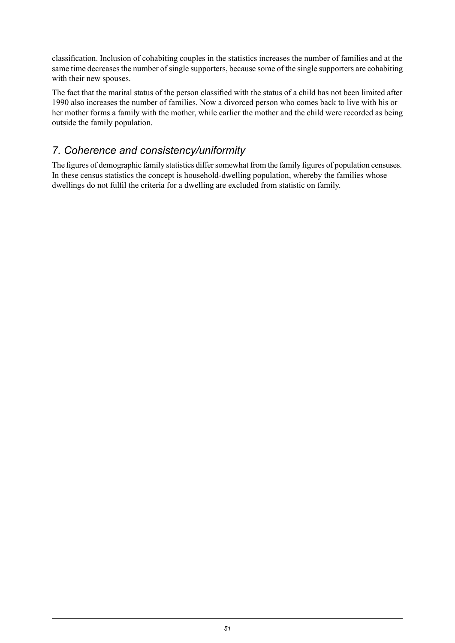classification. Inclusion of cohabiting couples in the statistics increases the number of families and at the same time decreases the number of single supporters, because some of the single supporters are cohabiting with their new spouses.

The fact that the marital status of the person classified with the status of a child has not been limited after 1990 also increases the number of families. Now a divorced person who comes back to live with his or her mother forms a family with the mother, while earlier the mother and the child were recorded as being outside the family population.

## *7. Coherence and consistency/uniformity*

The figures of demographic family statistics differ somewhat from the family figures of population censuses. In these census statistics the concept is household-dwelling population, whereby the families whose dwellings do not fulfil the criteria for a dwelling are excluded from statistic on family.